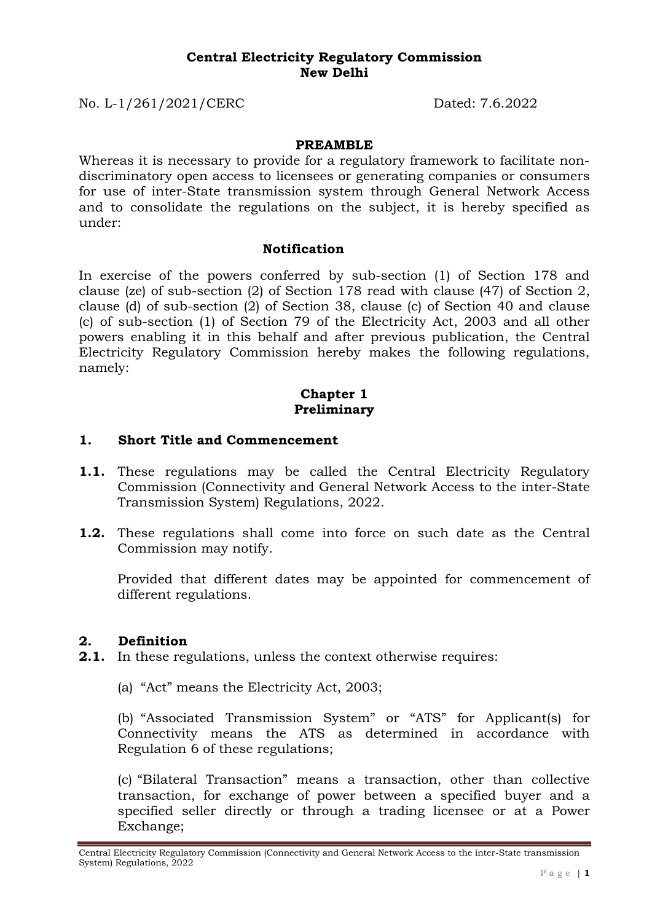#### **Central Electricity Regulatory Commission New Delhi**

No. L-1/261/2021/CERC Dated: 7.6.2022

#### **PREAMBLE**

Whereas it is necessary to provide for a regulatory framework to facilitate nondiscriminatory open access to licensees or generating companies or consumers for use of inter-State transmission system through General Network Access and to consolidate the regulations on the subject, it is hereby specified as under:

#### **Notification**

In exercise of the powers conferred by sub-section (1) of Section 178 and clause (ze) of sub-section (2) of Section 178 read with clause (47) of Section 2, clause (d) of sub-section (2) of Section 38, clause (c) of Section 40 and clause (c) of sub-section (1) of Section 79 of the Electricity Act, 2003 and all other powers enabling it in this behalf and after previous publication, the Central Electricity Regulatory Commission hereby makes the following regulations, namely:

### **Chapter 1 Preliminary**

### **1. Short Title and Commencement**

- **1.1.** These regulations may be called the Central Electricity Regulatory Commission (Connectivity and General Network Access to the inter-State Transmission System) Regulations, 2022.
- **1.2.** These regulations shall come into force on such date as the Central Commission may notify.

Provided that different dates may be appointed for commencement of different regulations.

### **2. Definition**

- **2.1.** In these regulations, unless the context otherwise requires:
	- (a) "Act" means the Electricity Act, 2003;

(b) "Associated Transmission System" or "ATS" for Applicant(s) for Connectivity means the ATS as determined in accordance with Regulation 6 of these regulations;

(c) "Bilateral Transaction" means a transaction, other than collective transaction, for exchange of power between a specified buyer and a specified seller directly or through a trading licensee or at a Power Exchange;

Central Electricity Regulatory Commission (Connectivity and General Network Access to the inter-State transmission System) Regulations, 2022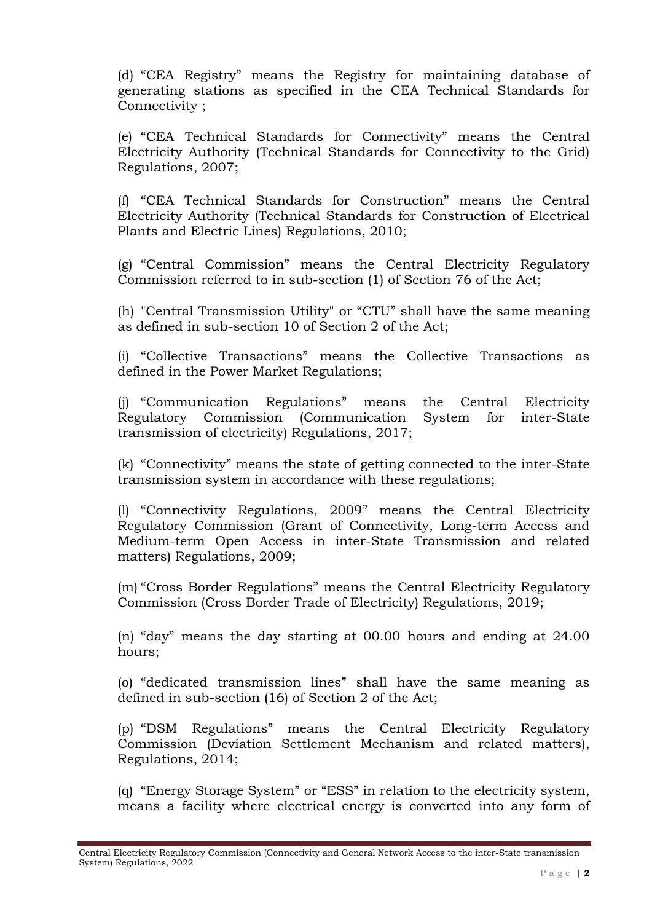(d) "CEA Registry" means the Registry for maintaining database of generating stations as specified in the CEA Technical Standards for Connectivity ;

(e) "CEA Technical Standards for Connectivity" means the Central Electricity Authority (Technical Standards for Connectivity to the Grid) Regulations, 2007;

(f) "CEA Technical Standards for Construction" means the Central Electricity Authority (Technical Standards for Construction of Electrical Plants and Electric Lines) Regulations, 2010;

(g) "Central Commission" means the Central Electricity Regulatory Commission referred to in sub-section (1) of Section 76 of the Act;

(h) "Central Transmission Utility" or "CTU" shall have the same meaning as defined in sub-section 10 of Section 2 of the Act;

(i) "Collective Transactions" means the Collective Transactions as defined in the Power Market Regulations;

(j) "Communication Regulations" means the Central Electricity Regulatory Commission (Communication System for inter-State transmission of electricity) Regulations, 2017;

(k) "Connectivity" means the state of getting connected to the inter-State transmission system in accordance with these regulations;

(l) "Connectivity Regulations, 2009" means the Central Electricity Regulatory Commission (Grant of Connectivity, Long-term Access and Medium-term Open Access in inter-State Transmission and related matters) Regulations, 2009;

(m) "Cross Border Regulations" means the Central Electricity Regulatory Commission (Cross Border Trade of Electricity) Regulations, 2019;

(n) "day" means the day starting at 00.00 hours and ending at 24.00 hours;

(o) "dedicated transmission lines" shall have the same meaning as defined in sub-section (16) of Section 2 of the Act;

(p) "DSM Regulations" means the Central Electricity Regulatory Commission (Deviation Settlement Mechanism and related matters), Regulations, 2014;

(q) "Energy Storage System" or "ESS" in relation to the electricity system, means a facility where electrical energy is converted into any form of

Central Electricity Regulatory Commission (Connectivity and General Network Access to the inter-State transmission System) Regulations, 2022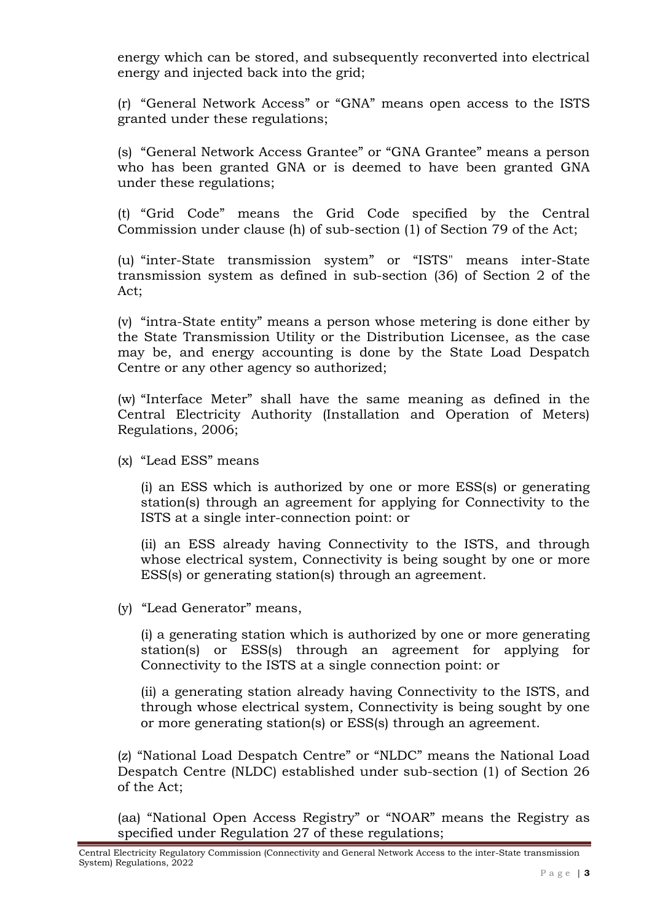energy which can be stored, and subsequently reconverted into electrical energy and injected back into the grid;

(r) "General Network Access" or "GNA" means open access to the ISTS granted under these regulations;

(s) "General Network Access Grantee" or "GNA Grantee" means a person who has been granted GNA or is deemed to have been granted GNA under these regulations;

(t) "Grid Code" means the Grid Code specified by the Central Commission under clause (h) of sub-section (1) of Section 79 of the Act;

(u) "inter-State transmission system" or "ISTS" means inter-State transmission system as defined in sub-section (36) of Section 2 of the Act;

(v) "intra-State entity" means a person whose metering is done either by the State Transmission Utility or the Distribution Licensee, as the case may be, and energy accounting is done by the State Load Despatch Centre or any other agency so authorized;

(w) "Interface Meter" shall have the same meaning as defined in the Central Electricity Authority (Installation and Operation of Meters) Regulations, 2006;

(x) "Lead ESS" means

(i) an ESS which is authorized by one or more ESS(s) or generating station(s) through an agreement for applying for Connectivity to the ISTS at a single inter-connection point: or

(ii) an ESS already having Connectivity to the ISTS, and through whose electrical system, Connectivity is being sought by one or more ESS(s) or generating station(s) through an agreement.

(y) "Lead Generator" means,

(i) a generating station which is authorized by one or more generating station(s) or ESS(s) through an agreement for applying for Connectivity to the ISTS at a single connection point: or

(ii) a generating station already having Connectivity to the ISTS, and through whose electrical system, Connectivity is being sought by one or more generating station(s) or ESS(s) through an agreement.

(z) "National Load Despatch Centre" or "NLDC" means the National Load Despatch Centre (NLDC) established under sub-section (1) of Section 26 of the Act;

(aa) "National Open Access Registry" or "NOAR" means the Registry as specified under Regulation 27 of these regulations;

Central Electricity Regulatory Commission (Connectivity and General Network Access to the inter-State transmission System) Regulations, 2022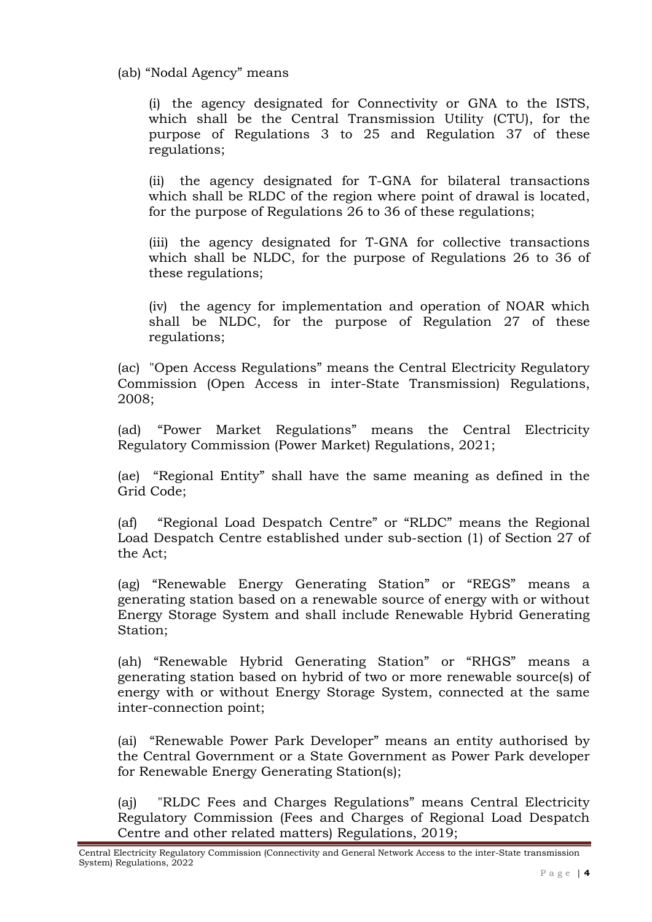(ab) "Nodal Agency" means

(i) the agency designated for Connectivity or GNA to the ISTS, which shall be the Central Transmission Utility (CTU), for the purpose of Regulations 3 to 25 and Regulation 37 of these regulations;

(ii) the agency designated for T-GNA for bilateral transactions which shall be RLDC of the region where point of drawal is located, for the purpose of Regulations 26 to 36 of these regulations;

(iii) the agency designated for T-GNA for collective transactions which shall be NLDC, for the purpose of Regulations 26 to 36 of these regulations;

(iv) the agency for implementation and operation of NOAR which shall be NLDC, for the purpose of Regulation 27 of these regulations;

(ac) "Open Access Regulations" means the Central Electricity Regulatory Commission (Open Access in inter-State Transmission) Regulations, 2008;

(ad) "Power Market Regulations" means the Central Electricity Regulatory Commission (Power Market) Regulations, 2021;

(ae) "Regional Entity" shall have the same meaning as defined in the Grid Code;

(af) "Regional Load Despatch Centre" or "RLDC" means the Regional Load Despatch Centre established under sub-section (1) of Section 27 of the Act;

(ag) "Renewable Energy Generating Station" or "REGS" means a generating station based on a renewable source of energy with or without Energy Storage System and shall include Renewable Hybrid Generating Station;

(ah) "Renewable Hybrid Generating Station" or "RHGS" means a generating station based on hybrid of two or more renewable source(s) of energy with or without Energy Storage System, connected at the same inter-connection point;

(ai) "Renewable Power Park Developer" means an entity authorised by the Central Government or a State Government as Power Park developer for Renewable Energy Generating Station(s);

(aj) "RLDC Fees and Charges Regulations" means Central Electricity Regulatory Commission (Fees and Charges of Regional Load Despatch Centre and other related matters) Regulations, 2019;

Central Electricity Regulatory Commission (Connectivity and General Network Access to the inter-State transmission System) Regulations, 2022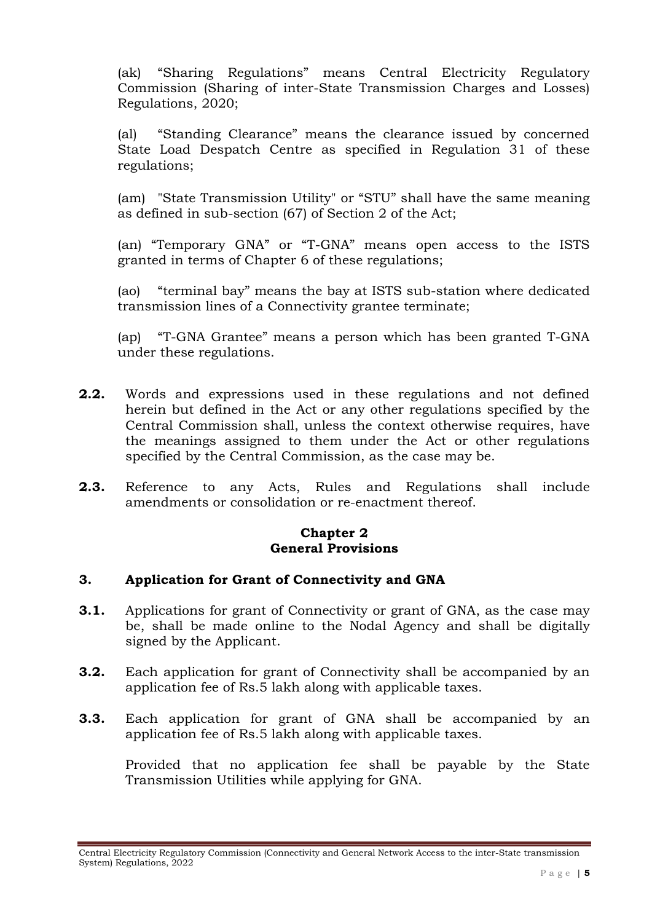(ak) "Sharing Regulations" means Central Electricity Regulatory Commission (Sharing of inter-State Transmission Charges and Losses) Regulations, 2020;

(al) "Standing Clearance" means the clearance issued by concerned State Load Despatch Centre as specified in Regulation 31 of these regulations;

(am) "State Transmission Utility" or "STU" shall have the same meaning as defined in sub-section (67) of Section 2 of the Act;

(an) "Temporary GNA" or "T-GNA" means open access to the ISTS granted in terms of Chapter 6 of these regulations;

(ao) "terminal bay" means the bay at ISTS sub-station where dedicated transmission lines of a Connectivity grantee terminate;

(ap) "T-GNA Grantee" means a person which has been granted T-GNA under these regulations.

- **2.2.** Words and expressions used in these regulations and not defined herein but defined in the Act or any other regulations specified by the Central Commission shall, unless the context otherwise requires, have the meanings assigned to them under the Act or other regulations specified by the Central Commission, as the case may be.
- **2.3.** Reference to any Acts, Rules and Regulations shall include amendments or consolidation or re-enactment thereof.

## **Chapter 2 General Provisions**

### **3. Application for Grant of Connectivity and GNA**

- **3.1.** Applications for grant of Connectivity or grant of GNA, as the case may be, shall be made online to the Nodal Agency and shall be digitally signed by the Applicant.
- **3.2.** Each application for grant of Connectivity shall be accompanied by an application fee of Rs.5 lakh along with applicable taxes.
- **3.3.** Each application for grant of GNA shall be accompanied by an application fee of Rs.5 lakh along with applicable taxes.

Provided that no application fee shall be payable by the State Transmission Utilities while applying for GNA.

Central Electricity Regulatory Commission (Connectivity and General Network Access to the inter-State transmission System) Regulations, 2022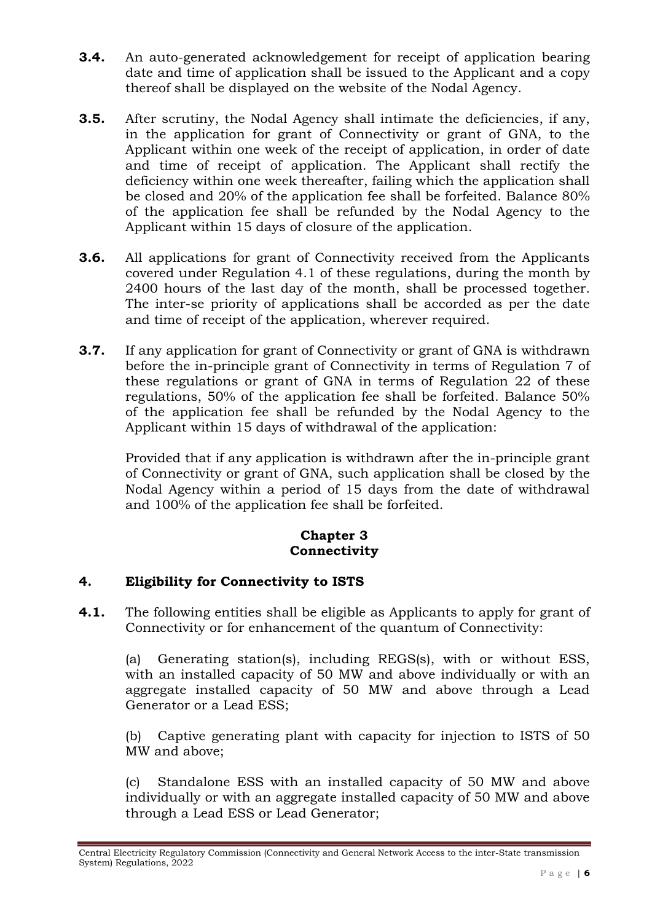- **3.4.** An auto-generated acknowledgement for receipt of application bearing date and time of application shall be issued to the Applicant and a copy thereof shall be displayed on the website of the Nodal Agency.
- **3.5.** After scrutiny, the Nodal Agency shall intimate the deficiencies, if any, in the application for grant of Connectivity or grant of GNA, to the Applicant within one week of the receipt of application, in order of date and time of receipt of application. The Applicant shall rectify the deficiency within one week thereafter, failing which the application shall be closed and 20% of the application fee shall be forfeited. Balance 80% of the application fee shall be refunded by the Nodal Agency to the Applicant within 15 days of closure of the application.
- **3.6.** All applications for grant of Connectivity received from the Applicants covered under Regulation 4.1 of these regulations, during the month by 2400 hours of the last day of the month, shall be processed together. The inter-se priority of applications shall be accorded as per the date and time of receipt of the application, wherever required.
- **3.7.** If any application for grant of Connectivity or grant of GNA is withdrawn before the in-principle grant of Connectivity in terms of Regulation 7 of these regulations or grant of GNA in terms of Regulation 22 of these regulations, 50% of the application fee shall be forfeited. Balance 50% of the application fee shall be refunded by the Nodal Agency to the Applicant within 15 days of withdrawal of the application:

Provided that if any application is withdrawn after the in-principle grant of Connectivity or grant of GNA, such application shall be closed by the Nodal Agency within a period of 15 days from the date of withdrawal and 100% of the application fee shall be forfeited.

# **Chapter 3 Connectivity**

# **4. Eligibility for Connectivity to ISTS**

**4.1.** The following entities shall be eligible as Applicants to apply for grant of Connectivity or for enhancement of the quantum of Connectivity:

(a) Generating station(s), including REGS(s), with or without ESS, with an installed capacity of 50 MW and above individually or with an aggregate installed capacity of 50 MW and above through a Lead Generator or a Lead ESS;

(b) Captive generating plant with capacity for injection to ISTS of 50 MW and above;

(c) Standalone ESS with an installed capacity of 50 MW and above individually or with an aggregate installed capacity of 50 MW and above through a Lead ESS or Lead Generator;

Central Electricity Regulatory Commission (Connectivity and General Network Access to the inter-State transmission System) Regulations, 2022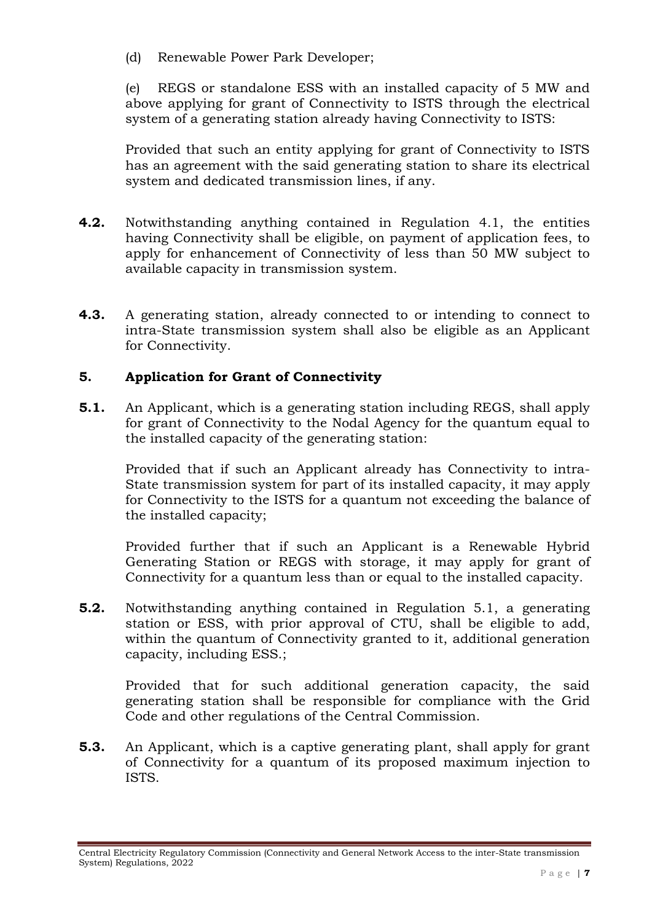(d) Renewable Power Park Developer;

(e) REGS or standalone ESS with an installed capacity of 5 MW and above applying for grant of Connectivity to ISTS through the electrical system of a generating station already having Connectivity to ISTS:

Provided that such an entity applying for grant of Connectivity to ISTS has an agreement with the said generating station to share its electrical system and dedicated transmission lines, if any.

- **4.2.** Notwithstanding anything contained in Regulation 4.1, the entities having Connectivity shall be eligible, on payment of application fees, to apply for enhancement of Connectivity of less than 50 MW subject to available capacity in transmission system.
- **4.3.** A generating station, already connected to or intending to connect to intra-State transmission system shall also be eligible as an Applicant for Connectivity.

# **5. Application for Grant of Connectivity**

**5.1.** An Applicant, which is a generating station including REGS, shall apply for grant of Connectivity to the Nodal Agency for the quantum equal to the installed capacity of the generating station:

Provided that if such an Applicant already has Connectivity to intra-State transmission system for part of its installed capacity, it may apply for Connectivity to the ISTS for a quantum not exceeding the balance of the installed capacity;

Provided further that if such an Applicant is a Renewable Hybrid Generating Station or REGS with storage, it may apply for grant of Connectivity for a quantum less than or equal to the installed capacity.

**5.2.** Notwithstanding anything contained in Regulation 5.1, a generating station or ESS, with prior approval of CTU, shall be eligible to add, within the quantum of Connectivity granted to it, additional generation capacity, including ESS.;

Provided that for such additional generation capacity, the said generating station shall be responsible for compliance with the Grid Code and other regulations of the Central Commission.

**5.3.** An Applicant, which is a captive generating plant, shall apply for grant of Connectivity for a quantum of its proposed maximum injection to ISTS.

Central Electricity Regulatory Commission (Connectivity and General Network Access to the inter-State transmission System) Regulations, 2022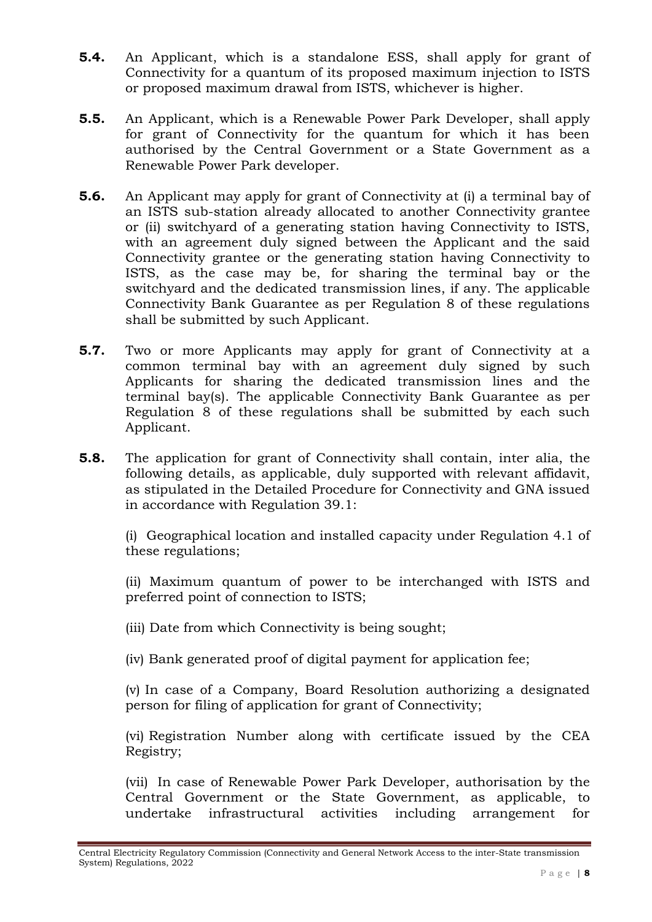- **5.4.** An Applicant, which is a standalone ESS, shall apply for grant of Connectivity for a quantum of its proposed maximum injection to ISTS or proposed maximum drawal from ISTS, whichever is higher.
- **5.5.** An Applicant, which is a Renewable Power Park Developer, shall apply for grant of Connectivity for the quantum for which it has been authorised by the Central Government or a State Government as a Renewable Power Park developer.
- **5.6.** An Applicant may apply for grant of Connectivity at (i) a terminal bay of an ISTS sub-station already allocated to another Connectivity grantee or (ii) switchyard of a generating station having Connectivity to ISTS, with an agreement duly signed between the Applicant and the said Connectivity grantee or the generating station having Connectivity to ISTS, as the case may be, for sharing the terminal bay or the switchyard and the dedicated transmission lines, if any. The applicable Connectivity Bank Guarantee as per Regulation 8 of these regulations shall be submitted by such Applicant.
- **5.7.** Two or more Applicants may apply for grant of Connectivity at a common terminal bay with an agreement duly signed by such Applicants for sharing the dedicated transmission lines and the terminal bay(s). The applicable Connectivity Bank Guarantee as per Regulation 8 of these regulations shall be submitted by each such Applicant.
- **5.8.** The application for grant of Connectivity shall contain, inter alia, the following details, as applicable, duly supported with relevant affidavit, as stipulated in the Detailed Procedure for Connectivity and GNA issued in accordance with Regulation 39.1:

(i) Geographical location and installed capacity under Regulation 4.1 of these regulations;

(ii) Maximum quantum of power to be interchanged with ISTS and preferred point of connection to ISTS;

- (iii) Date from which Connectivity is being sought;
- (iv) Bank generated proof of digital payment for application fee;

(v) In case of a Company, Board Resolution authorizing a designated person for filing of application for grant of Connectivity;

(vi) Registration Number along with certificate issued by the CEA Registry;

(vii) In case of Renewable Power Park Developer, authorisation by the Central Government or the State Government, as applicable, to undertake infrastructural activities including arrangement for

Central Electricity Regulatory Commission (Connectivity and General Network Access to the inter-State transmission System) Regulations, 2022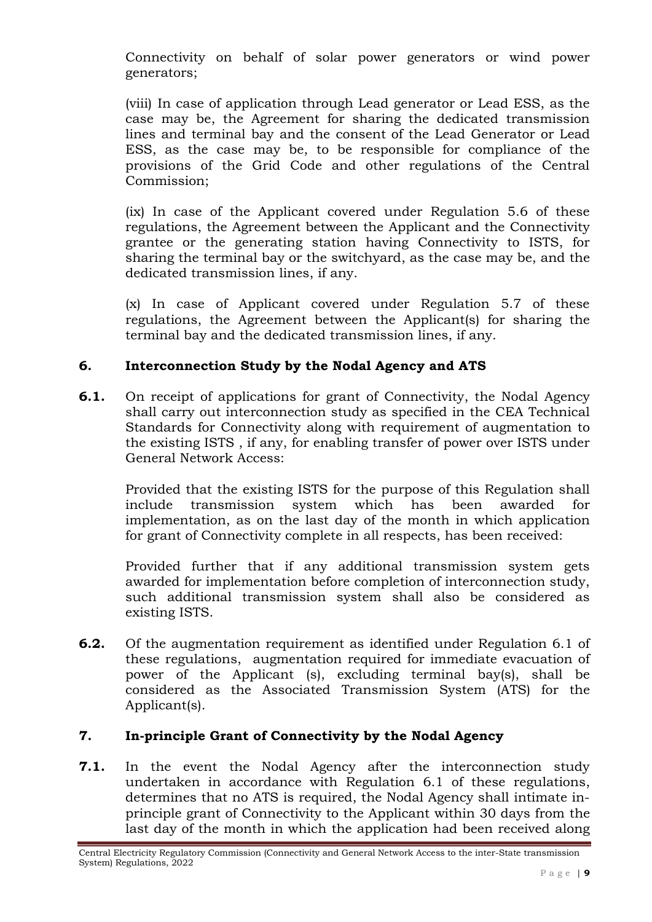Connectivity on behalf of solar power generators or wind power generators;

(viii) In case of application through Lead generator or Lead ESS, as the case may be, the Agreement for sharing the dedicated transmission lines and terminal bay and the consent of the Lead Generator or Lead ESS, as the case may be, to be responsible for compliance of the provisions of the Grid Code and other regulations of the Central Commission;

(ix) In case of the Applicant covered under Regulation 5.6 of these regulations, the Agreement between the Applicant and the Connectivity grantee or the generating station having Connectivity to ISTS, for sharing the terminal bay or the switchyard, as the case may be, and the dedicated transmission lines, if any.

(x) In case of Applicant covered under Regulation 5.7 of these regulations, the Agreement between the Applicant(s) for sharing the terminal bay and the dedicated transmission lines, if any.

## **6. Interconnection Study by the Nodal Agency and ATS**

**6.1.** On receipt of applications for grant of Connectivity, the Nodal Agency shall carry out interconnection study as specified in the CEA Technical Standards for Connectivity along with requirement of augmentation to the existing ISTS , if any, for enabling transfer of power over ISTS under General Network Access:

Provided that the existing ISTS for the purpose of this Regulation shall include transmission system which has been awarded for implementation, as on the last day of the month in which application for grant of Connectivity complete in all respects, has been received:

Provided further that if any additional transmission system gets awarded for implementation before completion of interconnection study, such additional transmission system shall also be considered as existing ISTS.

**6.2.** Of the augmentation requirement as identified under Regulation 6.1 of these regulations, augmentation required for immediate evacuation of power of the Applicant (s), excluding terminal bay(s), shall be considered as the Associated Transmission System (ATS) for the Applicant(s).

# **7. In-principle Grant of Connectivity by the Nodal Agency**

**7.1.** In the event the Nodal Agency after the interconnection study undertaken in accordance with Regulation 6.1 of these regulations, determines that no ATS is required, the Nodal Agency shall intimate inprinciple grant of Connectivity to the Applicant within 30 days from the last day of the month in which the application had been received along

Central Electricity Regulatory Commission (Connectivity and General Network Access to the inter-State transmission System) Regulations, 2022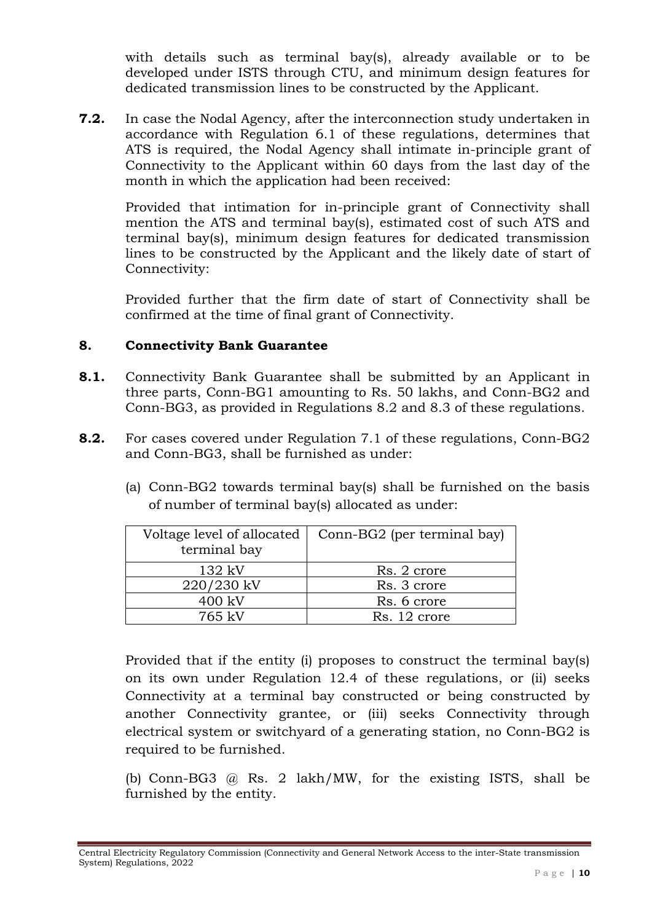with details such as terminal bay(s), already available or to be developed under ISTS through CTU, and minimum design features for dedicated transmission lines to be constructed by the Applicant.

**7.2.** In case the Nodal Agency, after the interconnection study undertaken in accordance with Regulation 6.1 of these regulations, determines that ATS is required, the Nodal Agency shall intimate in-principle grant of Connectivity to the Applicant within 60 days from the last day of the month in which the application had been received:

Provided that intimation for in-principle grant of Connectivity shall mention the ATS and terminal bay(s), estimated cost of such ATS and terminal bay(s), minimum design features for dedicated transmission lines to be constructed by the Applicant and the likely date of start of Connectivity:

Provided further that the firm date of start of Connectivity shall be confirmed at the time of final grant of Connectivity.

## **8. Connectivity Bank Guarantee**

- **8.1.** Connectivity Bank Guarantee shall be submitted by an Applicant in three parts, Conn-BG1 amounting to Rs. 50 lakhs, and Conn-BG2 and Conn-BG3, as provided in Regulations 8.2 and 8.3 of these regulations.
- **8.2.** For cases covered under Regulation 7.1 of these regulations, Conn-BG2 and Conn-BG3, shall be furnished as under:
	- (a) Conn-BG2 towards terminal bay(s) shall be furnished on the basis of number of terminal bay(s) allocated as under:

| Voltage level of allocated<br>terminal bay | Conn-BG2 (per terminal bay) |
|--------------------------------------------|-----------------------------|
| 132 kV                                     | Rs. 2 crore                 |
| 220/230 kV                                 | Rs. 3 crore                 |
| 400 kV                                     | Rs. 6 crore                 |
| 765 kV                                     | Rs. 12 crore                |

Provided that if the entity (i) proposes to construct the terminal bay(s) on its own under Regulation 12.4 of these regulations, or (ii) seeks Connectivity at a terminal bay constructed or being constructed by another Connectivity grantee, or (iii) seeks Connectivity through electrical system or switchyard of a generating station, no Conn-BG2 is required to be furnished.

(b) Conn-BG3 @ Rs. 2 lakh/MW, for the existing ISTS, shall be furnished by the entity.

Central Electricity Regulatory Commission (Connectivity and General Network Access to the inter-State transmission System) Regulations, 2022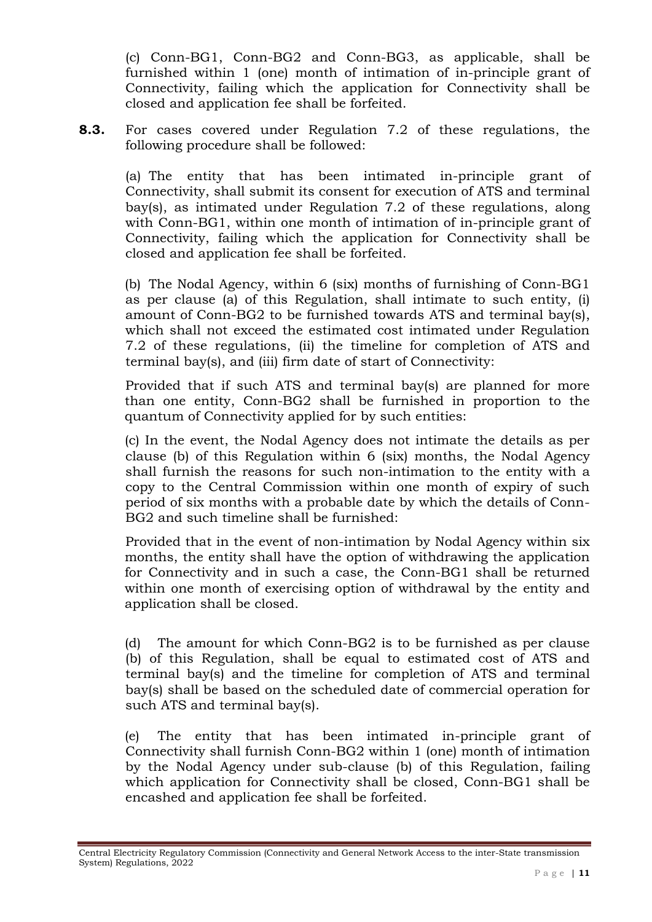(c) Conn-BG1, Conn-BG2 and Conn-BG3, as applicable, shall be furnished within 1 (one) month of intimation of in-principle grant of Connectivity, failing which the application for Connectivity shall be closed and application fee shall be forfeited.

**8.3.** For cases covered under Regulation 7.2 of these regulations, the following procedure shall be followed:

(a) The entity that has been intimated in-principle grant of Connectivity, shall submit its consent for execution of ATS and terminal bay(s), as intimated under Regulation 7.2 of these regulations, along with Conn-BG1, within one month of intimation of in-principle grant of Connectivity, failing which the application for Connectivity shall be closed and application fee shall be forfeited.

(b) The Nodal Agency, within 6 (six) months of furnishing of Conn-BG1 as per clause (a) of this Regulation, shall intimate to such entity, (i) amount of Conn-BG2 to be furnished towards ATS and terminal bay(s), which shall not exceed the estimated cost intimated under Regulation 7.2 of these regulations, (ii) the timeline for completion of ATS and terminal bay(s), and (iii) firm date of start of Connectivity:

Provided that if such ATS and terminal bay(s) are planned for more than one entity, Conn-BG2 shall be furnished in proportion to the quantum of Connectivity applied for by such entities:

(c) In the event, the Nodal Agency does not intimate the details as per clause (b) of this Regulation within 6 (six) months, the Nodal Agency shall furnish the reasons for such non-intimation to the entity with a copy to the Central Commission within one month of expiry of such period of six months with a probable date by which the details of Conn-BG2 and such timeline shall be furnished:

Provided that in the event of non-intimation by Nodal Agency within six months, the entity shall have the option of withdrawing the application for Connectivity and in such a case, the Conn-BG1 shall be returned within one month of exercising option of withdrawal by the entity and application shall be closed.

(d) The amount for which Conn-BG2 is to be furnished as per clause (b) of this Regulation, shall be equal to estimated cost of ATS and terminal bay(s) and the timeline for completion of ATS and terminal bay(s) shall be based on the scheduled date of commercial operation for such ATS and terminal bay(s).

(e) The entity that has been intimated in-principle grant of Connectivity shall furnish Conn-BG2 within 1 (one) month of intimation by the Nodal Agency under sub-clause (b) of this Regulation, failing which application for Connectivity shall be closed, Conn-BG1 shall be encashed and application fee shall be forfeited.

Central Electricity Regulatory Commission (Connectivity and General Network Access to the inter-State transmission System) Regulations, 2022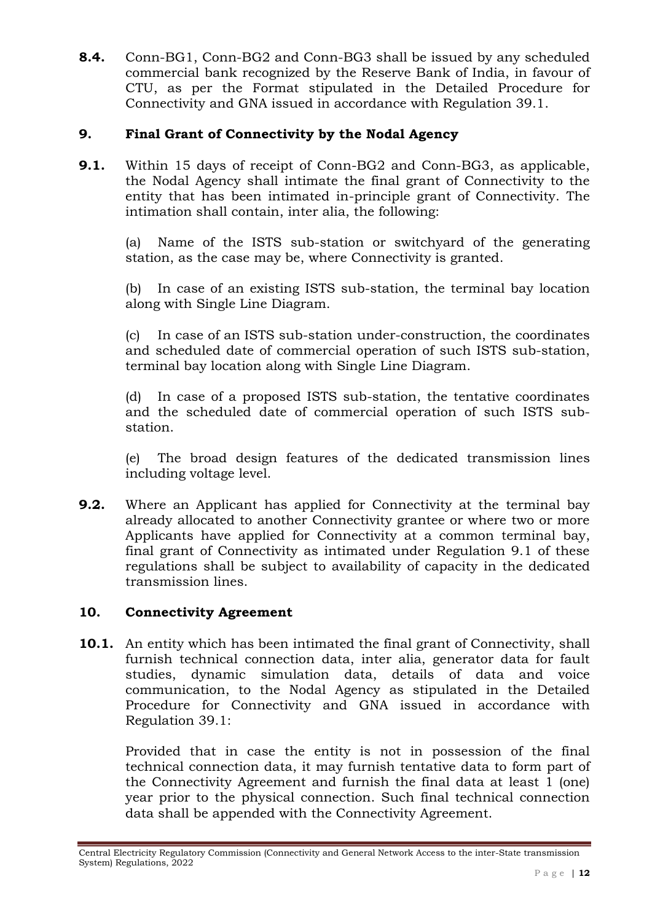**8.4.** Conn-BG1, Conn-BG2 and Conn-BG3 shall be issued by any scheduled commercial bank recognized by the Reserve Bank of India, in favour of CTU, as per the Format stipulated in the Detailed Procedure for Connectivity and GNA issued in accordance with Regulation 39.1.

## **9. Final Grant of Connectivity by the Nodal Agency**

**9.1.** Within 15 days of receipt of Conn-BG2 and Conn-BG3, as applicable, the Nodal Agency shall intimate the final grant of Connectivity to the entity that has been intimated in-principle grant of Connectivity. The intimation shall contain, inter alia, the following:

(a) Name of the ISTS sub-station or switchyard of the generating station, as the case may be, where Connectivity is granted.

(b) In case of an existing ISTS sub-station, the terminal bay location along with Single Line Diagram.

(c) In case of an ISTS sub-station under-construction, the coordinates and scheduled date of commercial operation of such ISTS sub-station, terminal bay location along with Single Line Diagram.

(d) In case of a proposed ISTS sub-station, the tentative coordinates and the scheduled date of commercial operation of such ISTS substation.

(e) The broad design features of the dedicated transmission lines including voltage level.

**9.2.** Where an Applicant has applied for Connectivity at the terminal bay already allocated to another Connectivity grantee or where two or more Applicants have applied for Connectivity at a common terminal bay, final grant of Connectivity as intimated under Regulation 9.1 of these regulations shall be subject to availability of capacity in the dedicated transmission lines.

### **10. Connectivity Agreement**

**10.1.** An entity which has been intimated the final grant of Connectivity, shall furnish technical connection data, inter alia, generator data for fault studies, dynamic simulation data, details of data and voice communication, to the Nodal Agency as stipulated in the Detailed Procedure for Connectivity and GNA issued in accordance with Regulation 39.1:

Provided that in case the entity is not in possession of the final technical connection data, it may furnish tentative data to form part of the Connectivity Agreement and furnish the final data at least 1 (one) year prior to the physical connection. Such final technical connection data shall be appended with the Connectivity Agreement.

Central Electricity Regulatory Commission (Connectivity and General Network Access to the inter-State transmission System) Regulations, 2022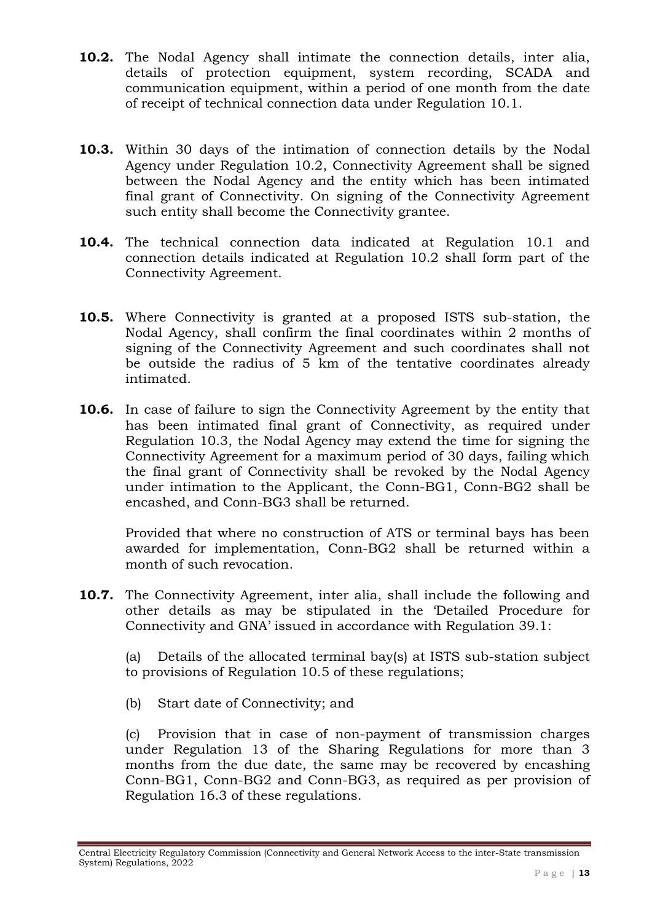- **10.2.** The Nodal Agency shall intimate the connection details, inter alia, details of protection equipment, system recording, SCADA and communication equipment, within a period of one month from the date of receipt of technical connection data under Regulation 10.1.
- **10.3.** Within 30 days of the intimation of connection details by the Nodal Agency under Regulation 10.2, Connectivity Agreement shall be signed between the Nodal Agency and the entity which has been intimated final grant of Connectivity. On signing of the Connectivity Agreement such entity shall become the Connectivity grantee.
- **10.4.** The technical connection data indicated at Regulation 10.1 and connection details indicated at Regulation 10.2 shall form part of the Connectivity Agreement.
- **10.5.** Where Connectivity is granted at a proposed ISTS sub-station, the Nodal Agency, shall confirm the final coordinates within 2 months of signing of the Connectivity Agreement and such coordinates shall not be outside the radius of 5 km of the tentative coordinates already intimated.
- **10.6.** In case of failure to sign the Connectivity Agreement by the entity that has been intimated final grant of Connectivity, as required under Regulation 10.3, the Nodal Agency may extend the time for signing the Connectivity Agreement for a maximum period of 30 days, failing which the final grant of Connectivity shall be revoked by the Nodal Agency under intimation to the Applicant, the Conn-BG1, Conn-BG2 shall be encashed, and Conn-BG3 shall be returned.

Provided that where no construction of ATS or terminal bays has been awarded for implementation, Conn-BG2 shall be returned within a month of such revocation.

**10.7.** The Connectivity Agreement, inter alia, shall include the following and other details as may be stipulated in the 'Detailed Procedure for Connectivity and GNA' issued in accordance with Regulation 39.1:

(a) Details of the allocated terminal bay(s) at ISTS sub-station subject to provisions of Regulation 10.5 of these regulations;

(b) Start date of Connectivity; and

(c) Provision that in case of non-payment of transmission charges under Regulation 13 of the Sharing Regulations for more than 3 months from the due date, the same may be recovered by encashing Conn-BG1, Conn-BG2 and Conn-BG3, as required as per provision of Regulation 16.3 of these regulations.

Central Electricity Regulatory Commission (Connectivity and General Network Access to the inter-State transmission System) Regulations, 2022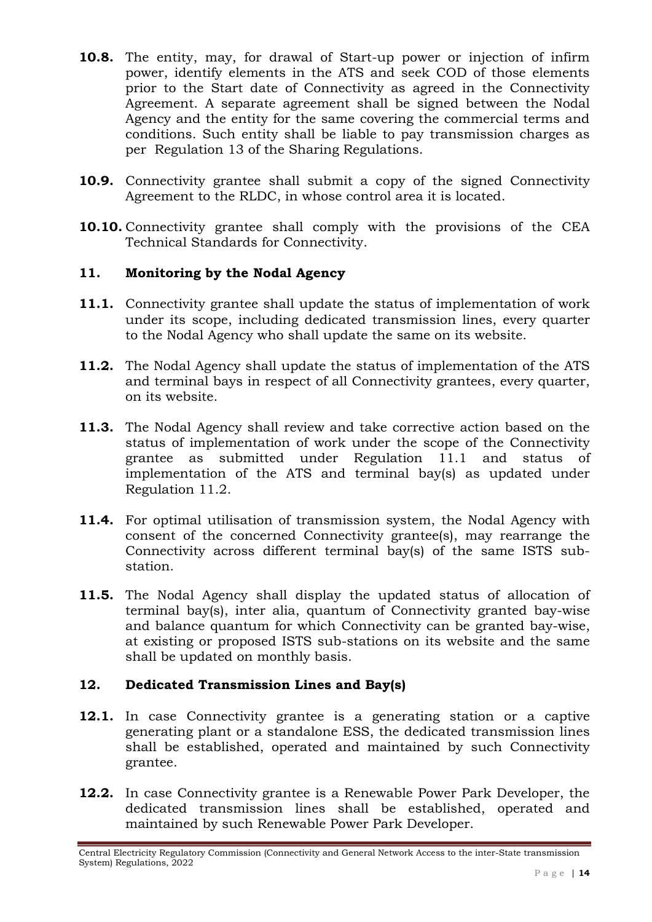- **10.8.** The entity, may, for drawal of Start-up power or injection of infirm power, identify elements in the ATS and seek COD of those elements prior to the Start date of Connectivity as agreed in the Connectivity Agreement. A separate agreement shall be signed between the Nodal Agency and the entity for the same covering the commercial terms and conditions. Such entity shall be liable to pay transmission charges as per Regulation 13 of the Sharing Regulations.
- **10.9.** Connectivity grantee shall submit a copy of the signed Connectivity Agreement to the RLDC, in whose control area it is located.
- **10.10.** Connectivity grantee shall comply with the provisions of the CEA Technical Standards for Connectivity.

## **11. Monitoring by the Nodal Agency**

- **11.1.** Connectivity grantee shall update the status of implementation of work under its scope, including dedicated transmission lines, every quarter to the Nodal Agency who shall update the same on its website.
- **11.2.** The Nodal Agency shall update the status of implementation of the ATS and terminal bays in respect of all Connectivity grantees, every quarter, on its website.
- **11.3.** The Nodal Agency shall review and take corrective action based on the status of implementation of work under the scope of the Connectivity grantee as submitted under Regulation 11.1 and status of implementation of the ATS and terminal bay(s) as updated under Regulation 11.2.
- **11.4.** For optimal utilisation of transmission system, the Nodal Agency with consent of the concerned Connectivity grantee(s), may rearrange the Connectivity across different terminal bay(s) of the same ISTS substation.
- **11.5.** The Nodal Agency shall display the updated status of allocation of terminal bay(s), inter alia, quantum of Connectivity granted bay-wise and balance quantum for which Connectivity can be granted bay-wise, at existing or proposed ISTS sub-stations on its website and the same shall be updated on monthly basis.

# **12. Dedicated Transmission Lines and Bay(s)**

- **12.1.** In case Connectivity grantee is a generating station or a captive generating plant or a standalone ESS, the dedicated transmission lines shall be established, operated and maintained by such Connectivity grantee.
- **12.2.** In case Connectivity grantee is a Renewable Power Park Developer, the dedicated transmission lines shall be established, operated and maintained by such Renewable Power Park Developer.

Central Electricity Regulatory Commission (Connectivity and General Network Access to the inter-State transmission System) Regulations, 2022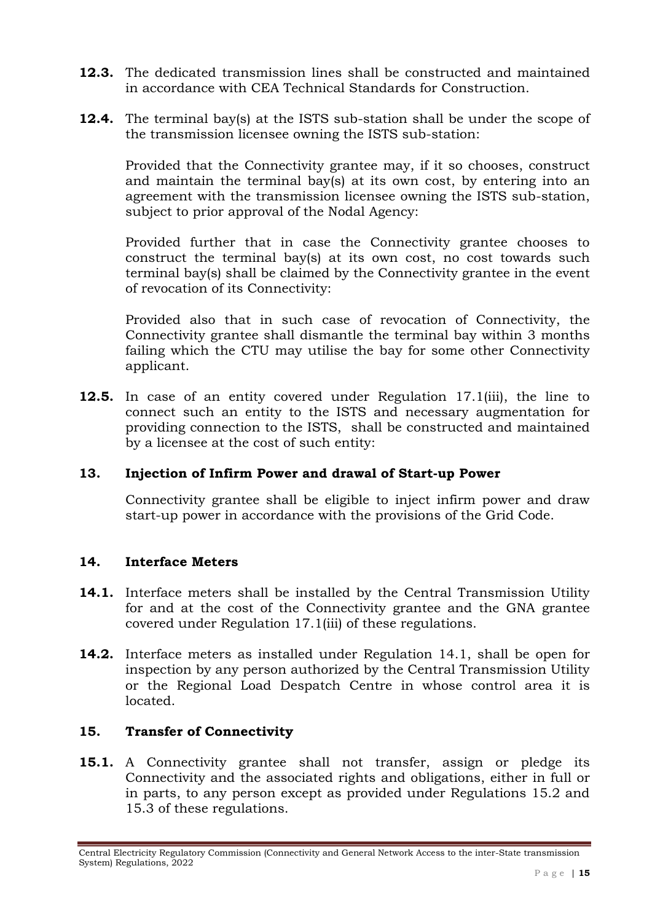- **12.3.** The dedicated transmission lines shall be constructed and maintained in accordance with CEA Technical Standards for Construction.
- **12.4.** The terminal bay(s) at the ISTS sub-station shall be under the scope of the transmission licensee owning the ISTS sub-station:

Provided that the Connectivity grantee may, if it so chooses, construct and maintain the terminal bay(s) at its own cost, by entering into an agreement with the transmission licensee owning the ISTS sub-station, subject to prior approval of the Nodal Agency:

Provided further that in case the Connectivity grantee chooses to construct the terminal bay(s) at its own cost, no cost towards such terminal bay(s) shall be claimed by the Connectivity grantee in the event of revocation of its Connectivity:

Provided also that in such case of revocation of Connectivity, the Connectivity grantee shall dismantle the terminal bay within 3 months failing which the CTU may utilise the bay for some other Connectivity applicant.

**12.5.** In case of an entity covered under Regulation 17.1(iii), the line to connect such an entity to the ISTS and necessary augmentation for providing connection to the ISTS, shall be constructed and maintained by a licensee at the cost of such entity:

### **13. Injection of Infirm Power and drawal of Start-up Power**

Connectivity grantee shall be eligible to inject infirm power and draw start-up power in accordance with the provisions of the Grid Code.

### **14. Interface Meters**

- **14.1.** Interface meters shall be installed by the Central Transmission Utility for and at the cost of the Connectivity grantee and the GNA grantee covered under Regulation 17.1(iii) of these regulations.
- **14.2.** Interface meters as installed under Regulation 14.1, shall be open for inspection by any person authorized by the Central Transmission Utility or the Regional Load Despatch Centre in whose control area it is located.

### **15. Transfer of Connectivity**

**15.1.** A Connectivity grantee shall not transfer, assign or pledge its Connectivity and the associated rights and obligations, either in full or in parts, to any person except as provided under Regulations 15.2 and 15.3 of these regulations.

Central Electricity Regulatory Commission (Connectivity and General Network Access to the inter-State transmission System) Regulations, 2022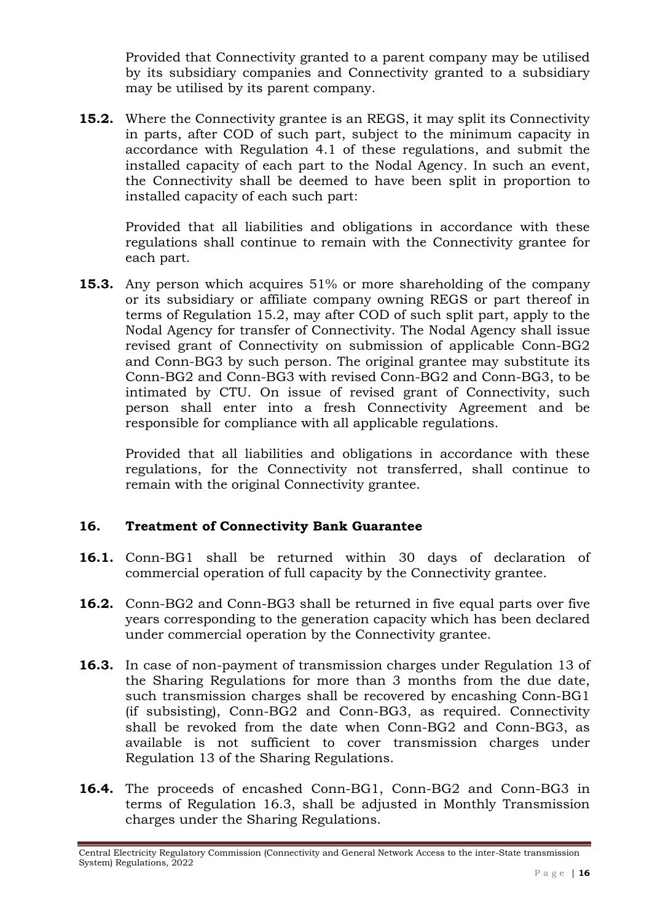Provided that Connectivity granted to a parent company may be utilised by its subsidiary companies and Connectivity granted to a subsidiary may be utilised by its parent company.

**15.2.** Where the Connectivity grantee is an REGS, it may split its Connectivity in parts, after COD of such part, subject to the minimum capacity in accordance with Regulation 4.1 of these regulations, and submit the installed capacity of each part to the Nodal Agency. In such an event, the Connectivity shall be deemed to have been split in proportion to installed capacity of each such part:

Provided that all liabilities and obligations in accordance with these regulations shall continue to remain with the Connectivity grantee for each part.

**15.3.** Any person which acquires 51% or more shareholding of the company or its subsidiary or affiliate company owning REGS or part thereof in terms of Regulation 15.2, may after COD of such split part, apply to the Nodal Agency for transfer of Connectivity. The Nodal Agency shall issue revised grant of Connectivity on submission of applicable Conn-BG2 and Conn-BG3 by such person. The original grantee may substitute its Conn-BG2 and Conn-BG3 with revised Conn-BG2 and Conn-BG3, to be intimated by CTU. On issue of revised grant of Connectivity, such person shall enter into a fresh Connectivity Agreement and be responsible for compliance with all applicable regulations.

Provided that all liabilities and obligations in accordance with these regulations, for the Connectivity not transferred, shall continue to remain with the original Connectivity grantee.

### **16. Treatment of Connectivity Bank Guarantee**

- **16.1.** Conn-BG1 shall be returned within 30 days of declaration of commercial operation of full capacity by the Connectivity grantee.
- **16.2.** Conn-BG2 and Conn-BG3 shall be returned in five equal parts over five years corresponding to the generation capacity which has been declared under commercial operation by the Connectivity grantee.
- **16.3.** In case of non-payment of transmission charges under Regulation 13 of the Sharing Regulations for more than 3 months from the due date, such transmission charges shall be recovered by encashing Conn-BG1 (if subsisting), Conn-BG2 and Conn-BG3, as required. Connectivity shall be revoked from the date when Conn-BG2 and Conn-BG3, as available is not sufficient to cover transmission charges under Regulation 13 of the Sharing Regulations.
- **16.4.** The proceeds of encashed Conn-BG1, Conn-BG2 and Conn-BG3 in terms of Regulation 16.3, shall be adjusted in Monthly Transmission charges under the Sharing Regulations.

Central Electricity Regulatory Commission (Connectivity and General Network Access to the inter-State transmission System) Regulations, 2022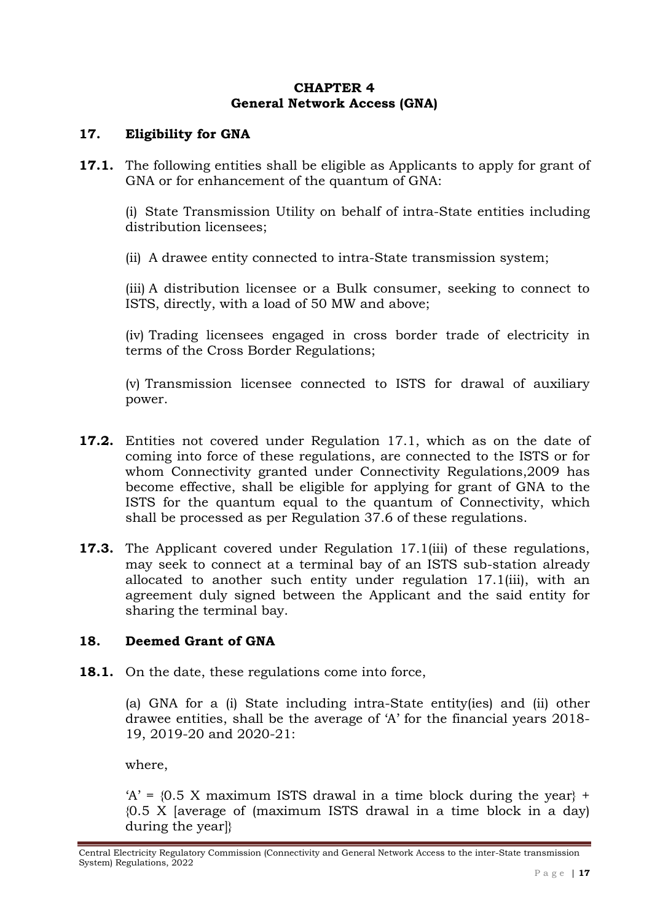#### **CHAPTER 4 General Network Access (GNA)**

### **17. Eligibility for GNA**

**17.1.** The following entities shall be eligible as Applicants to apply for grant of GNA or for enhancement of the quantum of GNA:

(i) State Transmission Utility on behalf of intra-State entities including distribution licensees;

(ii) A drawee entity connected to intra-State transmission system;

(iii) A distribution licensee or a Bulk consumer, seeking to connect to ISTS, directly, with a load of 50 MW and above;

(iv) Trading licensees engaged in cross border trade of electricity in terms of the Cross Border Regulations;

(v) Transmission licensee connected to ISTS for drawal of auxiliary power.

- **17.2.** Entities not covered under Regulation 17.1, which as on the date of coming into force of these regulations, are connected to the ISTS or for whom Connectivity granted under Connectivity Regulations,2009 has become effective, shall be eligible for applying for grant of GNA to the ISTS for the quantum equal to the quantum of Connectivity, which shall be processed as per Regulation 37.6 of these regulations.
- **17.3.** The Applicant covered under Regulation 17.1(iii) of these regulations, may seek to connect at a terminal bay of an ISTS sub-station already allocated to another such entity under regulation 17.1(iii), with an agreement duly signed between the Applicant and the said entity for sharing the terminal bay.

### **18. Deemed Grant of GNA**

**18.1.** On the date, these regulations come into force,

(a) GNA for a (i) State including intra-State entity(ies) and (ii) other drawee entities, shall be the average of 'A' for the financial years 2018- 19, 2019-20 and 2020-21:

where,

 $A' = \{0.5 \text{ X maximum } \text{ISTS} \text{ drawn in a time block during the year}\}$ {0.5 X [average of (maximum ISTS drawal in a time block in a day) during the year]}

Central Electricity Regulatory Commission (Connectivity and General Network Access to the inter-State transmission System) Regulations, 2022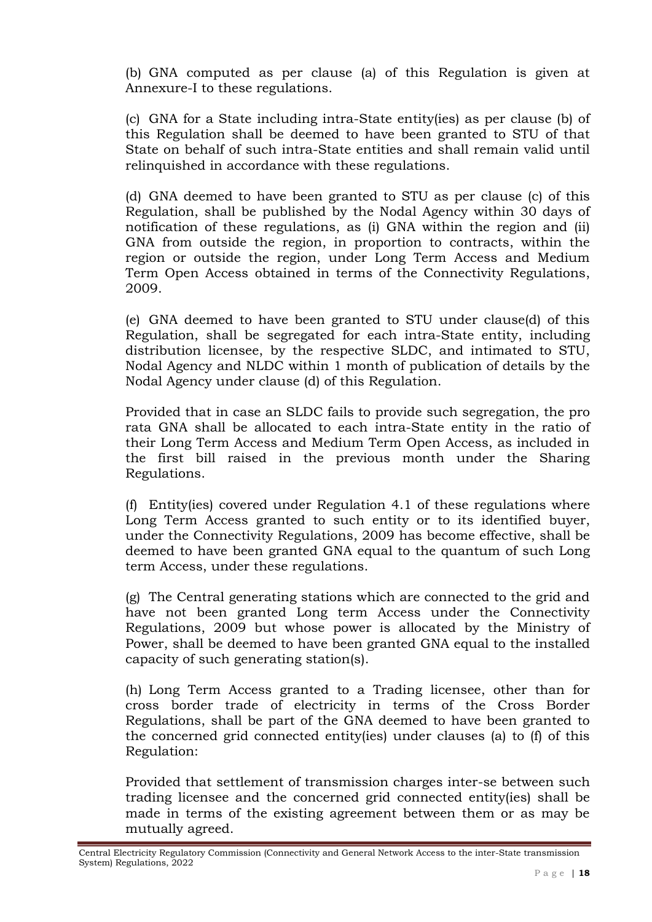(b) GNA computed as per clause (a) of this Regulation is given at Annexure-I to these regulations.

(c) GNA for a State including intra-State entity(ies) as per clause (b) of this Regulation shall be deemed to have been granted to STU of that State on behalf of such intra-State entities and shall remain valid until relinquished in accordance with these regulations.

(d) GNA deemed to have been granted to STU as per clause (c) of this Regulation, shall be published by the Nodal Agency within 30 days of notification of these regulations, as (i) GNA within the region and (ii) GNA from outside the region, in proportion to contracts, within the region or outside the region, under Long Term Access and Medium Term Open Access obtained in terms of the Connectivity Regulations, 2009.

(e) GNA deemed to have been granted to STU under clause(d) of this Regulation, shall be segregated for each intra-State entity, including distribution licensee, by the respective SLDC, and intimated to STU, Nodal Agency and NLDC within 1 month of publication of details by the Nodal Agency under clause (d) of this Regulation.

Provided that in case an SLDC fails to provide such segregation, the pro rata GNA shall be allocated to each intra-State entity in the ratio of their Long Term Access and Medium Term Open Access, as included in the first bill raised in the previous month under the Sharing Regulations.

(f) Entity(ies) covered under Regulation 4.1 of these regulations where Long Term Access granted to such entity or to its identified buyer, under the Connectivity Regulations, 2009 has become effective, shall be deemed to have been granted GNA equal to the quantum of such Long term Access, under these regulations.

(g) The Central generating stations which are connected to the grid and have not been granted Long term Access under the Connectivity Regulations, 2009 but whose power is allocated by the Ministry of Power, shall be deemed to have been granted GNA equal to the installed capacity of such generating station(s).

(h) Long Term Access granted to a Trading licensee, other than for cross border trade of electricity in terms of the Cross Border Regulations, shall be part of the GNA deemed to have been granted to the concerned grid connected entity(ies) under clauses (a) to (f) of this Regulation:

Provided that settlement of transmission charges inter-se between such trading licensee and the concerned grid connected entity(ies) shall be made in terms of the existing agreement between them or as may be mutually agreed.

Central Electricity Regulatory Commission (Connectivity and General Network Access to the inter-State transmission System) Regulations, 2022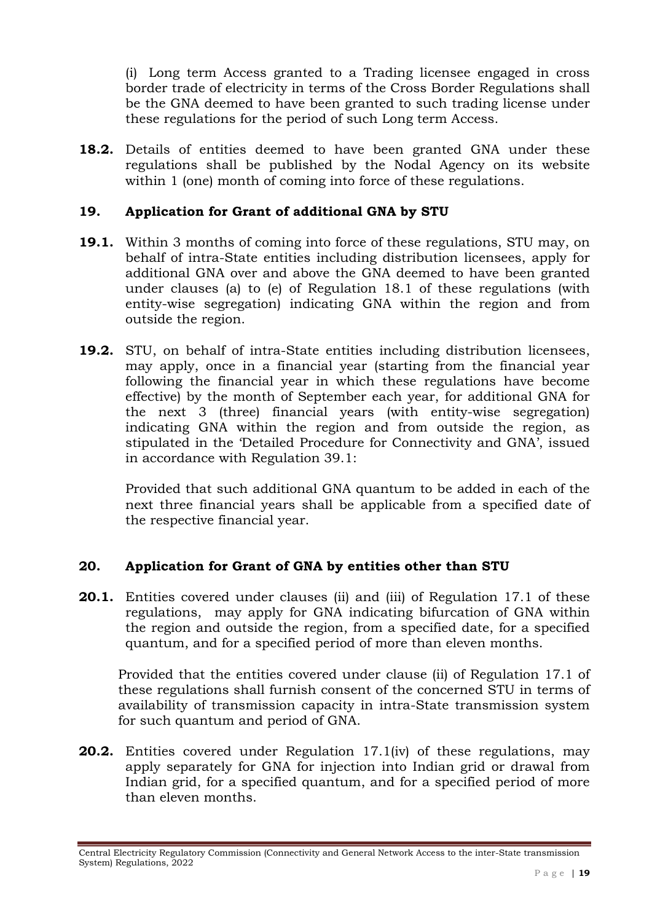(i) Long term Access granted to a Trading licensee engaged in cross border trade of electricity in terms of the Cross Border Regulations shall be the GNA deemed to have been granted to such trading license under these regulations for the period of such Long term Access.

**18.2.** Details of entities deemed to have been granted GNA under these regulations shall be published by the Nodal Agency on its website within 1 (one) month of coming into force of these regulations.

### **19. Application for Grant of additional GNA by STU**

- **19.1.** Within 3 months of coming into force of these regulations, STU may, on behalf of intra-State entities including distribution licensees, apply for additional GNA over and above the GNA deemed to have been granted under clauses (a) to (e) of Regulation 18.1 of these regulations (with entity-wise segregation) indicating GNA within the region and from outside the region.
- **19.2.** STU, on behalf of intra-State entities including distribution licensees, may apply, once in a financial year (starting from the financial year following the financial year in which these regulations have become effective) by the month of September each year, for additional GNA for the next 3 (three) financial years (with entity-wise segregation) indicating GNA within the region and from outside the region, as stipulated in the 'Detailed Procedure for Connectivity and GNA', issued in accordance with Regulation 39.1:

Provided that such additional GNA quantum to be added in each of the next three financial years shall be applicable from a specified date of the respective financial year.

### **20. Application for Grant of GNA by entities other than STU**

**20.1.** Entities covered under clauses (ii) and (iii) of Regulation 17.1 of these regulations, may apply for GNA indicating bifurcation of GNA within the region and outside the region, from a specified date, for a specified quantum, and for a specified period of more than eleven months.

Provided that the entities covered under clause (ii) of Regulation 17.1 of these regulations shall furnish consent of the concerned STU in terms of availability of transmission capacity in intra-State transmission system for such quantum and period of GNA.

**20.2.** Entities covered under Regulation 17.1(iv) of these regulations, may apply separately for GNA for injection into Indian grid or drawal from Indian grid, for a specified quantum, and for a specified period of more than eleven months.

Central Electricity Regulatory Commission (Connectivity and General Network Access to the inter-State transmission System) Regulations, 2022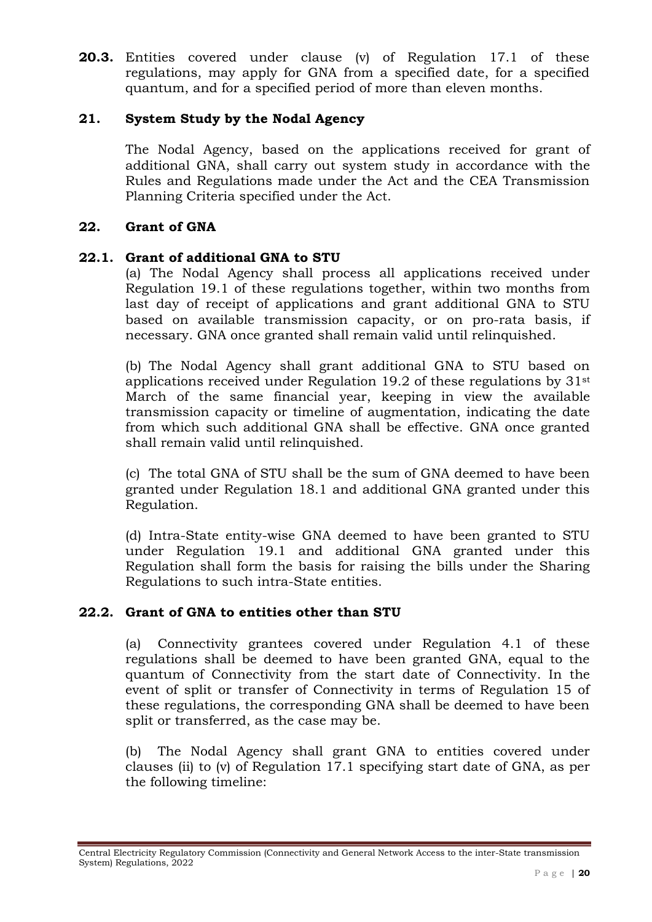**20.3.** Entities covered under clause (v) of Regulation 17.1 of these regulations, may apply for GNA from a specified date, for a specified quantum, and for a specified period of more than eleven months.

### **21. System Study by the Nodal Agency**

The Nodal Agency, based on the applications received for grant of additional GNA, shall carry out system study in accordance with the Rules and Regulations made under the Act and the CEA Transmission Planning Criteria specified under the Act.

### **22. Grant of GNA**

#### **22.1. Grant of additional GNA to STU**

(a) The Nodal Agency shall process all applications received under Regulation 19.1 of these regulations together, within two months from last day of receipt of applications and grant additional GNA to STU based on available transmission capacity, or on pro-rata basis, if necessary. GNA once granted shall remain valid until relinquished.

(b) The Nodal Agency shall grant additional GNA to STU based on applications received under Regulation 19.2 of these regulations by 31st March of the same financial year, keeping in view the available transmission capacity or timeline of augmentation, indicating the date from which such additional GNA shall be effective. GNA once granted shall remain valid until relinquished.

(c) The total GNA of STU shall be the sum of GNA deemed to have been granted under Regulation 18.1 and additional GNA granted under this Regulation.

(d) Intra-State entity-wise GNA deemed to have been granted to STU under Regulation 19.1 and additional GNA granted under this Regulation shall form the basis for raising the bills under the Sharing Regulations to such intra-State entities.

### **22.2. Grant of GNA to entities other than STU**

(a) Connectivity grantees covered under Regulation 4.1 of these regulations shall be deemed to have been granted GNA, equal to the quantum of Connectivity from the start date of Connectivity. In the event of split or transfer of Connectivity in terms of Regulation 15 of these regulations, the corresponding GNA shall be deemed to have been split or transferred, as the case may be.

(b) The Nodal Agency shall grant GNA to entities covered under clauses (ii) to (v) of Regulation 17.1 specifying start date of GNA, as per the following timeline:

Central Electricity Regulatory Commission (Connectivity and General Network Access to the inter-State transmission System) Regulations, 2022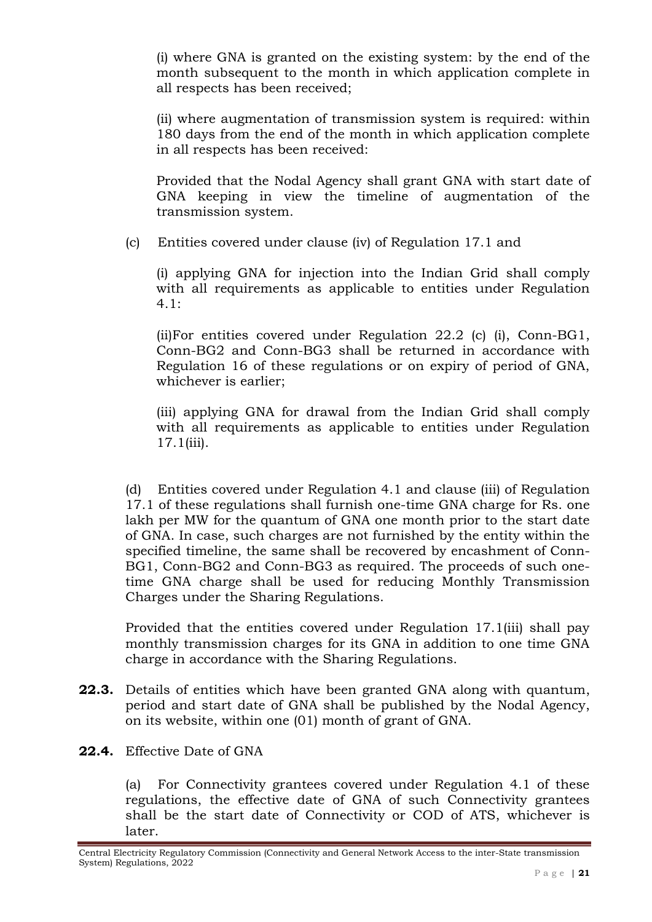(i) where GNA is granted on the existing system: by the end of the month subsequent to the month in which application complete in all respects has been received;

(ii) where augmentation of transmission system is required: within 180 days from the end of the month in which application complete in all respects has been received:

Provided that the Nodal Agency shall grant GNA with start date of GNA keeping in view the timeline of augmentation of the transmission system.

(c) Entities covered under clause (iv) of Regulation 17.1 and

(i) applying GNA for injection into the Indian Grid shall comply with all requirements as applicable to entities under Regulation 4.1:

(ii)For entities covered under Regulation 22.2 (c) (i), Conn-BG1, Conn-BG2 and Conn-BG3 shall be returned in accordance with Regulation 16 of these regulations or on expiry of period of GNA, whichever is earlier;

(iii) applying GNA for drawal from the Indian Grid shall comply with all requirements as applicable to entities under Regulation 17.1(iii).

(d) Entities covered under Regulation 4.1 and clause (iii) of Regulation 17.1 of these regulations shall furnish one-time GNA charge for Rs. one lakh per MW for the quantum of GNA one month prior to the start date of GNA. In case, such charges are not furnished by the entity within the specified timeline, the same shall be recovered by encashment of Conn-BG1, Conn-BG2 and Conn-BG3 as required. The proceeds of such onetime GNA charge shall be used for reducing Monthly Transmission Charges under the Sharing Regulations.

Provided that the entities covered under Regulation 17.1(iii) shall pay monthly transmission charges for its GNA in addition to one time GNA charge in accordance with the Sharing Regulations.

- **22.3.** Details of entities which have been granted GNA along with quantum, period and start date of GNA shall be published by the Nodal Agency, on its website, within one (01) month of grant of GNA.
- **22.4.** Effective Date of GNA

(a) For Connectivity grantees covered under Regulation 4.1 of these regulations, the effective date of GNA of such Connectivity grantees shall be the start date of Connectivity or COD of ATS, whichever is later.

Central Electricity Regulatory Commission (Connectivity and General Network Access to the inter-State transmission System) Regulations, 2022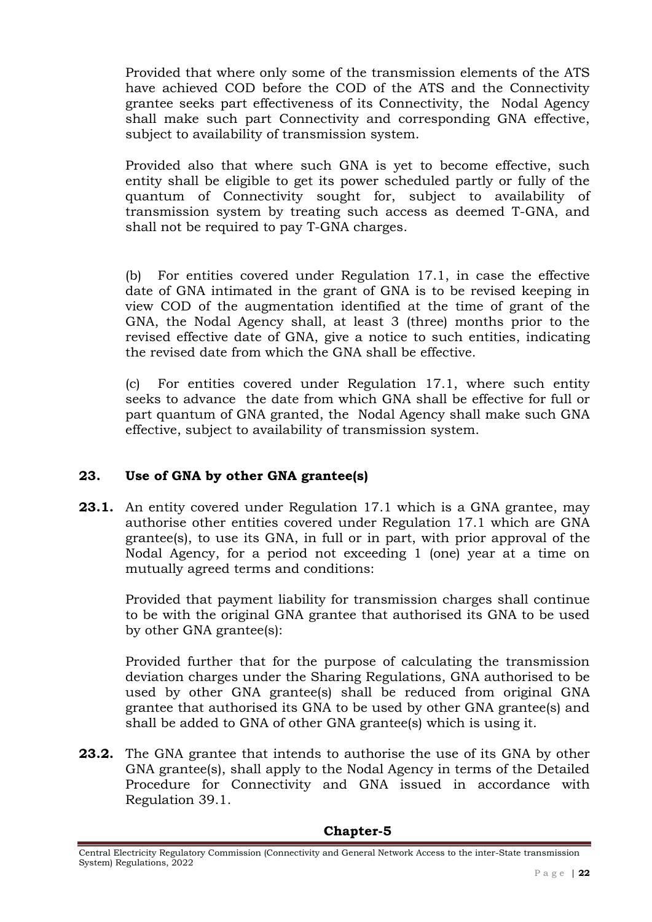Provided that where only some of the transmission elements of the ATS have achieved COD before the COD of the ATS and the Connectivity grantee seeks part effectiveness of its Connectivity, the Nodal Agency shall make such part Connectivity and corresponding GNA effective, subject to availability of transmission system.

Provided also that where such GNA is yet to become effective, such entity shall be eligible to get its power scheduled partly or fully of the quantum of Connectivity sought for, subject to availability of transmission system by treating such access as deemed T-GNA, and shall not be required to pay T-GNA charges.

(b) For entities covered under Regulation 17.1, in case the effective date of GNA intimated in the grant of GNA is to be revised keeping in view COD of the augmentation identified at the time of grant of the GNA, the Nodal Agency shall, at least 3 (three) months prior to the revised effective date of GNA, give a notice to such entities, indicating the revised date from which the GNA shall be effective.

(c) For entities covered under Regulation 17.1, where such entity seeks to advance the date from which GNA shall be effective for full or part quantum of GNA granted, the Nodal Agency shall make such GNA effective, subject to availability of transmission system.

# **23. Use of GNA by other GNA grantee(s)**

**23.1.** An entity covered under Regulation 17.1 which is a GNA grantee, may authorise other entities covered under Regulation 17.1 which are GNA grantee(s), to use its GNA, in full or in part, with prior approval of the Nodal Agency, for a period not exceeding 1 (one) year at a time on mutually agreed terms and conditions:

Provided that payment liability for transmission charges shall continue to be with the original GNA grantee that authorised its GNA to be used by other GNA grantee(s):

Provided further that for the purpose of calculating the transmission deviation charges under the Sharing Regulations, GNA authorised to be used by other GNA grantee(s) shall be reduced from original GNA grantee that authorised its GNA to be used by other GNA grantee(s) and shall be added to GNA of other GNA grantee(s) which is using it.

**23.2.** The GNA grantee that intends to authorise the use of its GNA by other GNA grantee(s), shall apply to the Nodal Agency in terms of the Detailed Procedure for Connectivity and GNA issued in accordance with Regulation 39.1.

#### **Chapter-5**

Central Electricity Regulatory Commission (Connectivity and General Network Access to the inter-State transmission System) Regulations, 2022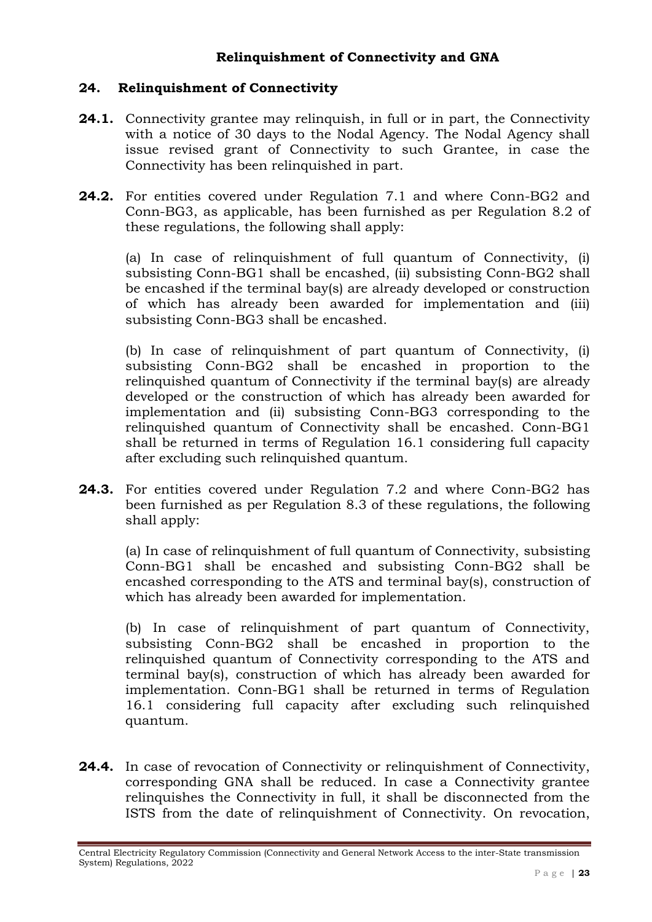## **Relinquishment of Connectivity and GNA**

### **24. Relinquishment of Connectivity**

- **24.1.** Connectivity grantee may relinquish, in full or in part, the Connectivity with a notice of 30 days to the Nodal Agency. The Nodal Agency shall issue revised grant of Connectivity to such Grantee, in case the Connectivity has been relinquished in part.
- **24.2.** For entities covered under Regulation 7.1 and where Conn-BG2 and Conn-BG3, as applicable, has been furnished as per Regulation 8.2 of these regulations, the following shall apply:

(a) In case of relinquishment of full quantum of Connectivity, (i) subsisting Conn-BG1 shall be encashed, (ii) subsisting Conn-BG2 shall be encashed if the terminal bay(s) are already developed or construction of which has already been awarded for implementation and (iii) subsisting Conn-BG3 shall be encashed.

(b) In case of relinquishment of part quantum of Connectivity, (i) subsisting Conn-BG2 shall be encashed in proportion to the relinquished quantum of Connectivity if the terminal bay(s) are already developed or the construction of which has already been awarded for implementation and (ii) subsisting Conn-BG3 corresponding to the relinquished quantum of Connectivity shall be encashed. Conn-BG1 shall be returned in terms of Regulation 16.1 considering full capacity after excluding such relinquished quantum.

**24.3.** For entities covered under Regulation 7.2 and where Conn-BG2 has been furnished as per Regulation 8.3 of these regulations, the following shall apply:

(a) In case of relinquishment of full quantum of Connectivity, subsisting Conn-BG1 shall be encashed and subsisting Conn-BG2 shall be encashed corresponding to the ATS and terminal bay(s), construction of which has already been awarded for implementation.

(b) In case of relinquishment of part quantum of Connectivity, subsisting Conn-BG2 shall be encashed in proportion to the relinquished quantum of Connectivity corresponding to the ATS and terminal bay(s), construction of which has already been awarded for implementation. Conn-BG1 shall be returned in terms of Regulation 16.1 considering full capacity after excluding such relinquished quantum.

**24.4.** In case of revocation of Connectivity or relinquishment of Connectivity, corresponding GNA shall be reduced. In case a Connectivity grantee relinquishes the Connectivity in full, it shall be disconnected from the ISTS from the date of relinquishment of Connectivity. On revocation,

Central Electricity Regulatory Commission (Connectivity and General Network Access to the inter-State transmission System) Regulations, 2022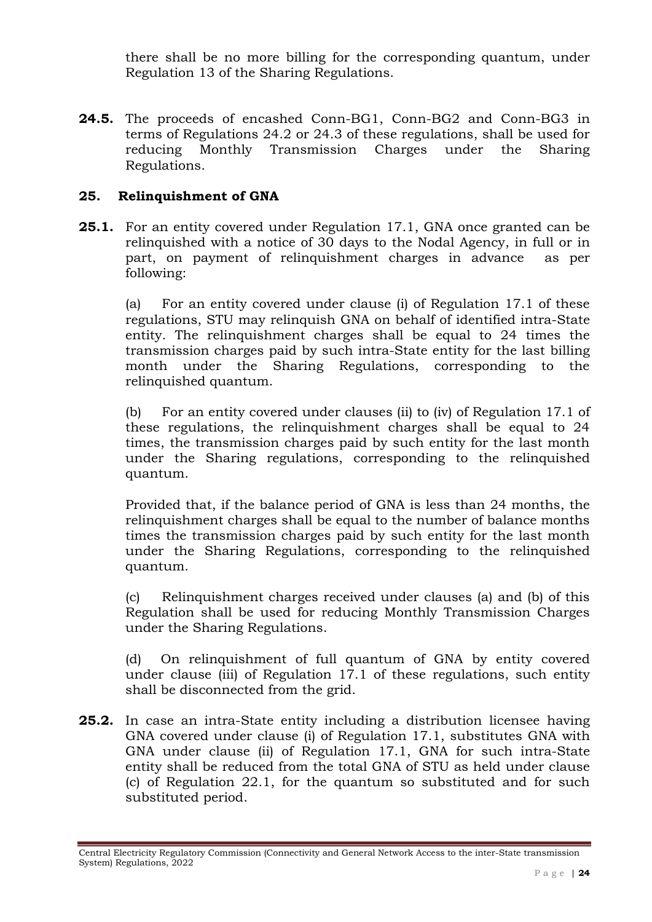there shall be no more billing for the corresponding quantum, under Regulation 13 of the Sharing Regulations.

**24.5.** The proceeds of encashed Conn-BG1, Conn-BG2 and Conn-BG3 in terms of Regulations 24.2 or 24.3 of these regulations, shall be used for reducing Monthly Transmission Charges under the Sharing Regulations.

## **25. Relinquishment of GNA**

**25.1.** For an entity covered under Regulation 17.1, GNA once granted can be relinquished with a notice of 30 days to the Nodal Agency, in full or in part, on payment of relinquishment charges in advance as per following:

(a) For an entity covered under clause (i) of Regulation 17.1 of these regulations, STU may relinquish GNA on behalf of identified intra-State entity. The relinquishment charges shall be equal to 24 times the transmission charges paid by such intra-State entity for the last billing month under the Sharing Regulations, corresponding to the relinquished quantum.

(b) For an entity covered under clauses (ii) to (iv) of Regulation 17.1 of these regulations, the relinquishment charges shall be equal to 24 times, the transmission charges paid by such entity for the last month under the Sharing regulations, corresponding to the relinquished quantum.

Provided that, if the balance period of GNA is less than 24 months, the relinquishment charges shall be equal to the number of balance months times the transmission charges paid by such entity for the last month under the Sharing Regulations, corresponding to the relinquished quantum.

(c) Relinquishment charges received under clauses (a) and (b) of this Regulation shall be used for reducing Monthly Transmission Charges under the Sharing Regulations.

(d) On relinquishment of full quantum of GNA by entity covered under clause (iii) of Regulation 17.1 of these regulations, such entity shall be disconnected from the grid.

**25.2.** In case an intra-State entity including a distribution licensee having GNA covered under clause (i) of Regulation 17.1, substitutes GNA with GNA under clause (ii) of Regulation 17.1, GNA for such intra-State entity shall be reduced from the total GNA of STU as held under clause (c) of Regulation 22.1, for the quantum so substituted and for such substituted period.

Central Electricity Regulatory Commission (Connectivity and General Network Access to the inter-State transmission System) Regulations, 2022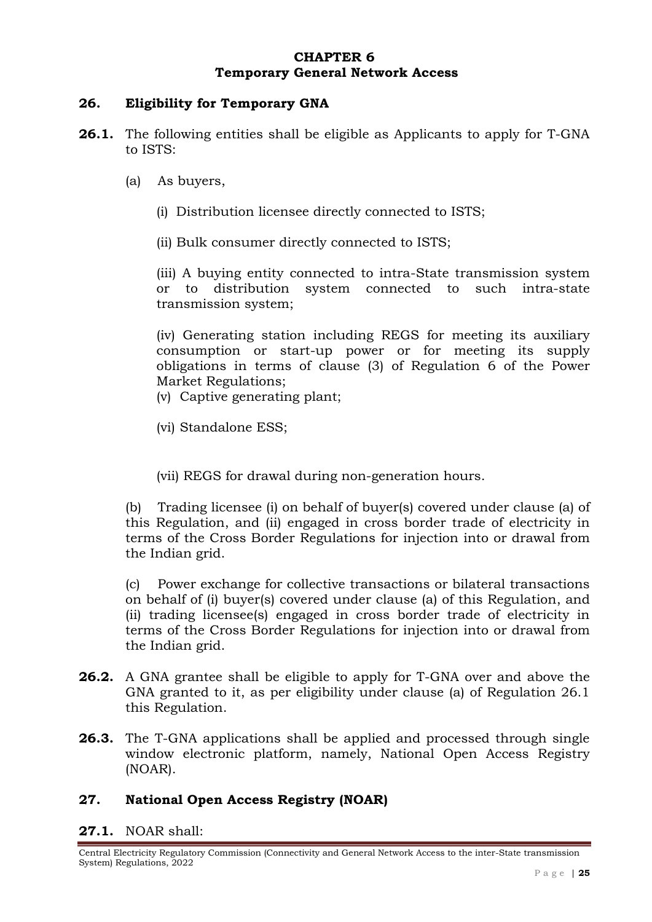### **CHAPTER 6 Temporary General Network Access**

#### **26. Eligibility for Temporary GNA**

- **26.1.** The following entities shall be eligible as Applicants to apply for T-GNA to ISTS:
	- (a) As buyers,
		- (i) Distribution licensee directly connected to ISTS;

(ii) Bulk consumer directly connected to ISTS;

(iii) A buying entity connected to intra-State transmission system or to distribution system connected to such intra-state transmission system;

(iv) Generating station including REGS for meeting its auxiliary consumption or start-up power or for meeting its supply obligations in terms of clause (3) of Regulation 6 of the Power Market Regulations;

- (v) Captive generating plant;
- (vi) Standalone ESS;
- (vii) REGS for drawal during non-generation hours.

(b) Trading licensee (i) on behalf of buyer(s) covered under clause (a) of this Regulation, and (ii) engaged in cross border trade of electricity in terms of the Cross Border Regulations for injection into or drawal from the Indian grid.

(c) Power exchange for collective transactions or bilateral transactions on behalf of (i) buyer(s) covered under clause (a) of this Regulation, and (ii) trading licensee(s) engaged in cross border trade of electricity in terms of the Cross Border Regulations for injection into or drawal from the Indian grid.

- **26.2.** A GNA grantee shall be eligible to apply for T-GNA over and above the GNA granted to it, as per eligibility under clause (a) of Regulation 26.1 this Regulation.
- **26.3.** The T-GNA applications shall be applied and processed through single window electronic platform, namely, National Open Access Registry (NOAR).

## **27. National Open Access Registry (NOAR)**

#### **27.1.** NOAR shall:

Central Electricity Regulatory Commission (Connectivity and General Network Access to the inter-State transmission System) Regulations, 2022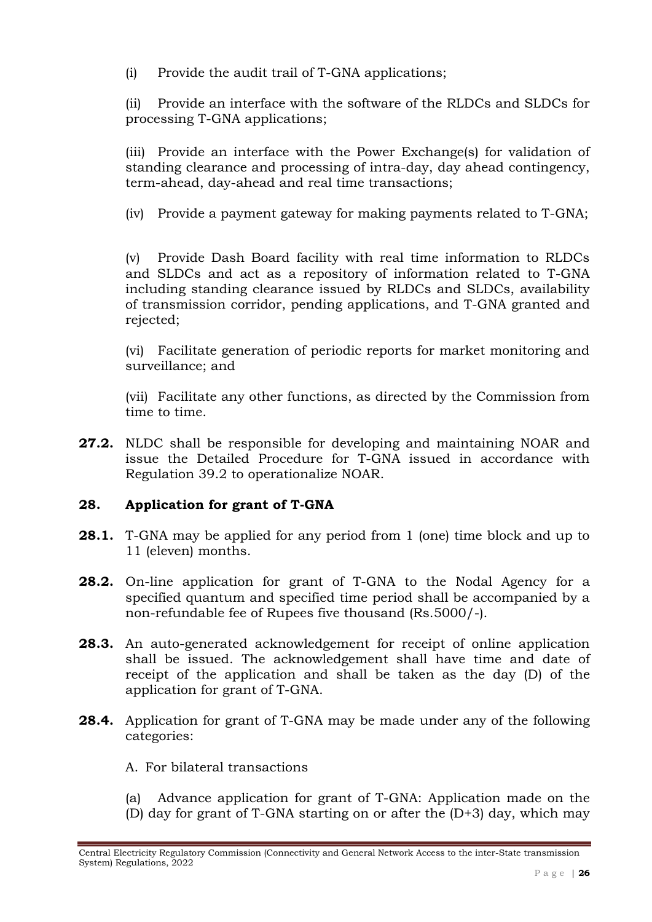(i) Provide the audit trail of T-GNA applications;

(ii) Provide an interface with the software of the RLDCs and SLDCs for processing T-GNA applications;

(iii) Provide an interface with the Power Exchange(s) for validation of standing clearance and processing of intra-day, day ahead contingency, term-ahead, day-ahead and real time transactions;

(iv) Provide a payment gateway for making payments related to T-GNA;

(v) Provide Dash Board facility with real time information to RLDCs and SLDCs and act as a repository of information related to T-GNA including standing clearance issued by RLDCs and SLDCs, availability of transmission corridor, pending applications, and T-GNA granted and rejected;

(vi) Facilitate generation of periodic reports for market monitoring and surveillance; and

(vii) Facilitate any other functions, as directed by the Commission from time to time.

**27.2.** NLDC shall be responsible for developing and maintaining NOAR and issue the Detailed Procedure for T-GNA issued in accordance with Regulation 39.2 to operationalize NOAR.

# **28. Application for grant of T-GNA**

- **28.1.** T-GNA may be applied for any period from 1 (one) time block and up to 11 (eleven) months.
- **28.2.** On-line application for grant of T-GNA to the Nodal Agency for a specified quantum and specified time period shall be accompanied by a non-refundable fee of Rupees five thousand (Rs.5000/-).
- **28.3.** An auto-generated acknowledgement for receipt of online application shall be issued. The acknowledgement shall have time and date of receipt of the application and shall be taken as the day (D) of the application for grant of T-GNA.
- **28.4.** Application for grant of T-GNA may be made under any of the following categories:

### A. For bilateral transactions

(a) Advance application for grant of T-GNA: Application made on the (D) day for grant of T-GNA starting on or after the (D+3) day, which may

Central Electricity Regulatory Commission (Connectivity and General Network Access to the inter-State transmission System) Regulations, 2022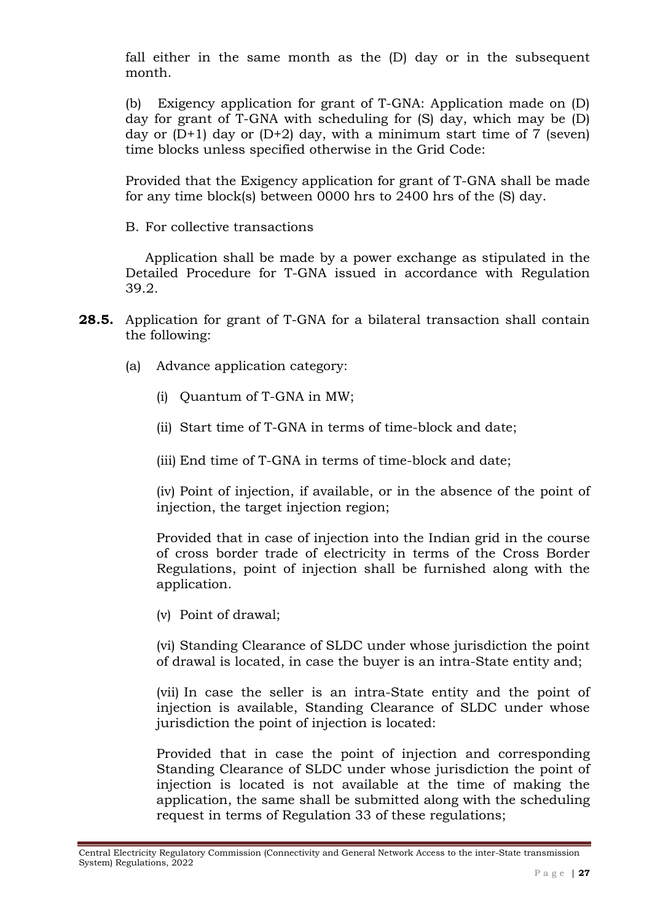fall either in the same month as the (D) day or in the subsequent month.

(b) Exigency application for grant of T-GNA: Application made on (D) day for grant of T-GNA with scheduling for (S) day, which may be (D) day or  $(D+1)$  day or  $(D+2)$  day, with a minimum start time of 7 (seven) time blocks unless specified otherwise in the Grid Code:

Provided that the Exigency application for grant of T-GNA shall be made for any time block(s) between 0000 hrs to 2400 hrs of the (S) day.

B. For collective transactions

Application shall be made by a power exchange as stipulated in the Detailed Procedure for T-GNA issued in accordance with Regulation 39.2.

- **28.5.** Application for grant of T-GNA for a bilateral transaction shall contain the following:
	- (a) Advance application category:
		- (i) Quantum of T-GNA in MW;
		- (ii) Start time of T-GNA in terms of time-block and date;
		- (iii) End time of T-GNA in terms of time-block and date;

(iv) Point of injection, if available, or in the absence of the point of injection, the target injection region;

Provided that in case of injection into the Indian grid in the course of cross border trade of electricity in terms of the Cross Border Regulations, point of injection shall be furnished along with the application.

(v) Point of drawal;

(vi) Standing Clearance of SLDC under whose jurisdiction the point of drawal is located, in case the buyer is an intra-State entity and;

(vii) In case the seller is an intra-State entity and the point of injection is available, Standing Clearance of SLDC under whose jurisdiction the point of injection is located:

Provided that in case the point of injection and corresponding Standing Clearance of SLDC under whose jurisdiction the point of injection is located is not available at the time of making the application, the same shall be submitted along with the scheduling request in terms of Regulation 33 of these regulations;

Central Electricity Regulatory Commission (Connectivity and General Network Access to the inter-State transmission System) Regulations, 2022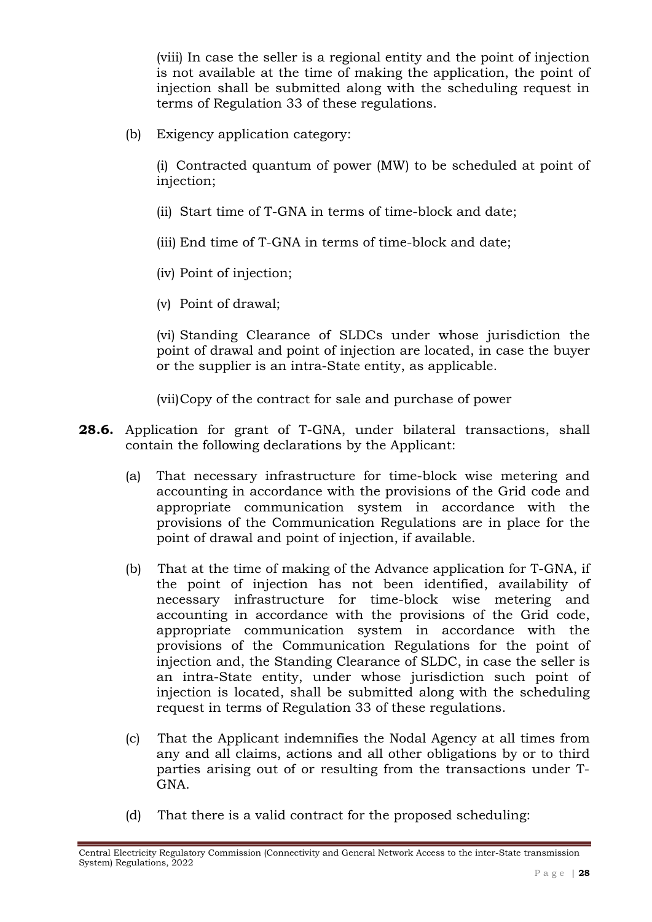(viii) In case the seller is a regional entity and the point of injection is not available at the time of making the application, the point of injection shall be submitted along with the scheduling request in terms of Regulation 33 of these regulations.

(b) Exigency application category:

(i) Contracted quantum of power (MW) to be scheduled at point of injection;

- (ii) Start time of T-GNA in terms of time-block and date;
- (iii) End time of T-GNA in terms of time-block and date;
- (iv) Point of injection;
- (v) Point of drawal;

(vi) Standing Clearance of SLDCs under whose jurisdiction the point of drawal and point of injection are located, in case the buyer or the supplier is an intra-State entity, as applicable.

(vii)Copy of the contract for sale and purchase of power

- **28.6.** Application for grant of T-GNA, under bilateral transactions, shall contain the following declarations by the Applicant:
	- (a) That necessary infrastructure for time-block wise metering and accounting in accordance with the provisions of the Grid code and appropriate communication system in accordance with the provisions of the Communication Regulations are in place for the point of drawal and point of injection, if available.
	- (b) That at the time of making of the Advance application for T-GNA, if the point of injection has not been identified, availability of necessary infrastructure for time-block wise metering and accounting in accordance with the provisions of the Grid code, appropriate communication system in accordance with the provisions of the Communication Regulations for the point of injection and, the Standing Clearance of SLDC, in case the seller is an intra-State entity, under whose jurisdiction such point of injection is located, shall be submitted along with the scheduling request in terms of Regulation 33 of these regulations.
	- (c) That the Applicant indemnifies the Nodal Agency at all times from any and all claims, actions and all other obligations by or to third parties arising out of or resulting from the transactions under T-GNA.
	- (d) That there is a valid contract for the proposed scheduling:

Central Electricity Regulatory Commission (Connectivity and General Network Access to the inter-State transmission System) Regulations, 2022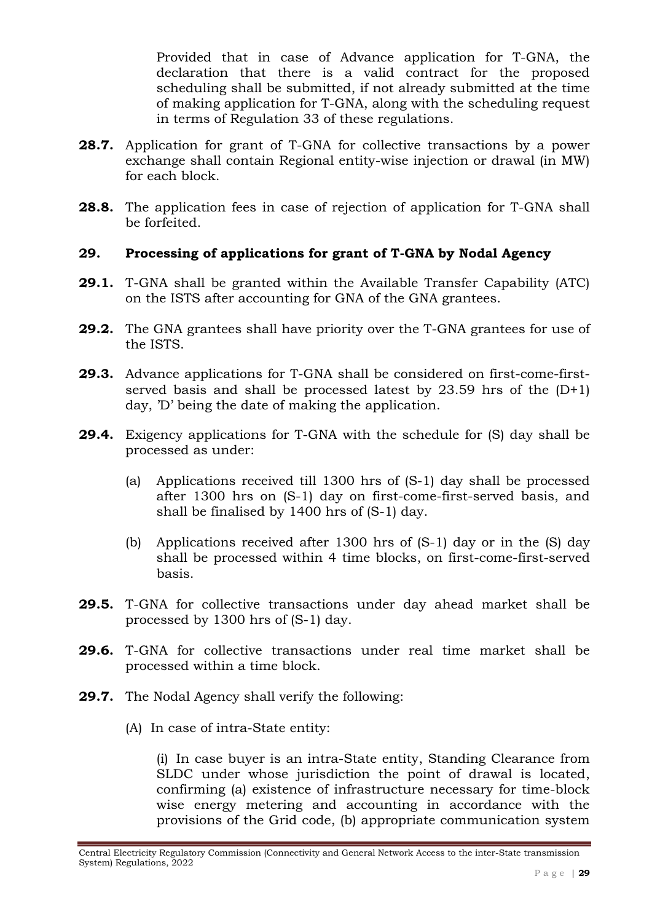Provided that in case of Advance application for T-GNA, the declaration that there is a valid contract for the proposed scheduling shall be submitted, if not already submitted at the time of making application for T-GNA, along with the scheduling request in terms of Regulation 33 of these regulations.

- **28.7.** Application for grant of T-GNA for collective transactions by a power exchange shall contain Regional entity-wise injection or drawal (in MW) for each block.
- **28.8.** The application fees in case of rejection of application for T-GNA shall be forfeited.

## **29. Processing of applications for grant of T-GNA by Nodal Agency**

- **29.1.** T-GNA shall be granted within the Available Transfer Capability (ATC) on the ISTS after accounting for GNA of the GNA grantees.
- **29.2.** The GNA grantees shall have priority over the T-GNA grantees for use of the ISTS.
- **29.3.** Advance applications for T-GNA shall be considered on first-come-firstserved basis and shall be processed latest by 23.59 hrs of the  $(D+1)$ day, 'D' being the date of making the application.
- **29.4.** Exigency applications for T-GNA with the schedule for (S) day shall be processed as under:
	- (a) Applications received till 1300 hrs of (S-1) day shall be processed after 1300 hrs on (S-1) day on first-come-first-served basis, and shall be finalised by 1400 hrs of (S-1) day.
	- (b) Applications received after 1300 hrs of (S-1) day or in the (S) day shall be processed within 4 time blocks, on first-come-first-served basis.
- **29.5.** T-GNA for collective transactions under day ahead market shall be processed by 1300 hrs of (S-1) day.
- **29.6.** T-GNA for collective transactions under real time market shall be processed within a time block.
- **29.7.** The Nodal Agency shall verify the following:
	- (A) In case of intra-State entity:

(i) In case buyer is an intra-State entity, Standing Clearance from SLDC under whose jurisdiction the point of drawal is located, confirming (a) existence of infrastructure necessary for time-block wise energy metering and accounting in accordance with the provisions of the Grid code, (b) appropriate communication system

Central Electricity Regulatory Commission (Connectivity and General Network Access to the inter-State transmission System) Regulations, 2022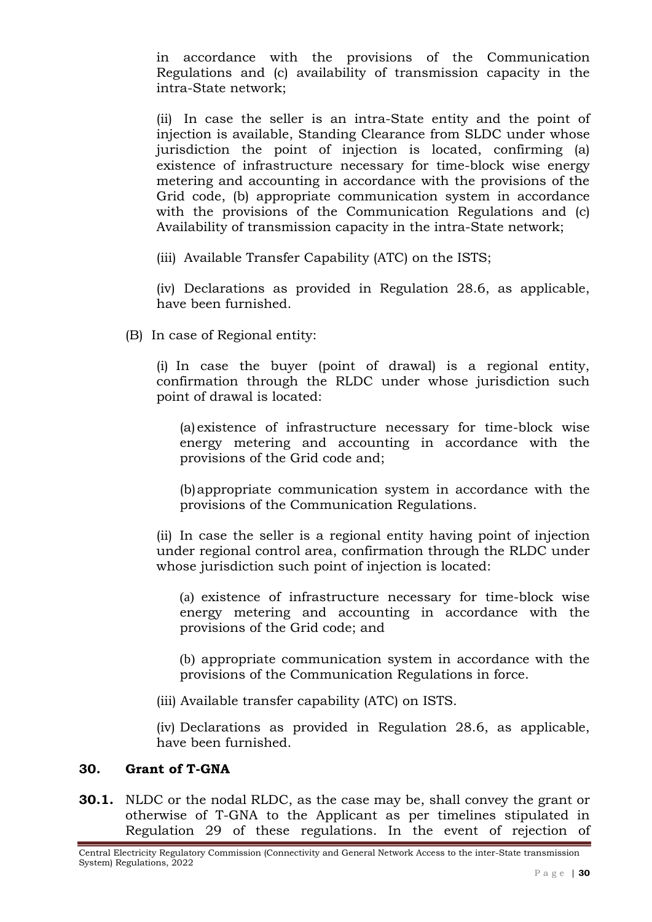in accordance with the provisions of the Communication Regulations and (c) availability of transmission capacity in the intra-State network;

(ii) In case the seller is an intra-State entity and the point of injection is available, Standing Clearance from SLDC under whose jurisdiction the point of injection is located, confirming (a) existence of infrastructure necessary for time-block wise energy metering and accounting in accordance with the provisions of the Grid code, (b) appropriate communication system in accordance with the provisions of the Communication Regulations and (c) Availability of transmission capacity in the intra-State network;

(iii) Available Transfer Capability (ATC) on the ISTS;

(iv) Declarations as provided in Regulation 28.6, as applicable, have been furnished.

(B) In case of Regional entity:

(i) In case the buyer (point of drawal) is a regional entity, confirmation through the RLDC under whose jurisdiction such point of drawal is located:

(a) existence of infrastructure necessary for time-block wise energy metering and accounting in accordance with the provisions of the Grid code and;

(b)appropriate communication system in accordance with the provisions of the Communication Regulations.

(ii) In case the seller is a regional entity having point of injection under regional control area, confirmation through the RLDC under whose jurisdiction such point of injection is located:

(a) existence of infrastructure necessary for time-block wise energy metering and accounting in accordance with the provisions of the Grid code; and

(b) appropriate communication system in accordance with the provisions of the Communication Regulations in force.

(iii) Available transfer capability (ATC) on ISTS.

(iv) Declarations as provided in Regulation 28.6, as applicable, have been furnished.

#### **30. Grant of T-GNA**

**30.1.** NLDC or the nodal RLDC, as the case may be, shall convey the grant or otherwise of T-GNA to the Applicant as per timelines stipulated in Regulation 29 of these regulations. In the event of rejection of

Central Electricity Regulatory Commission (Connectivity and General Network Access to the inter-State transmission System) Regulations, 2022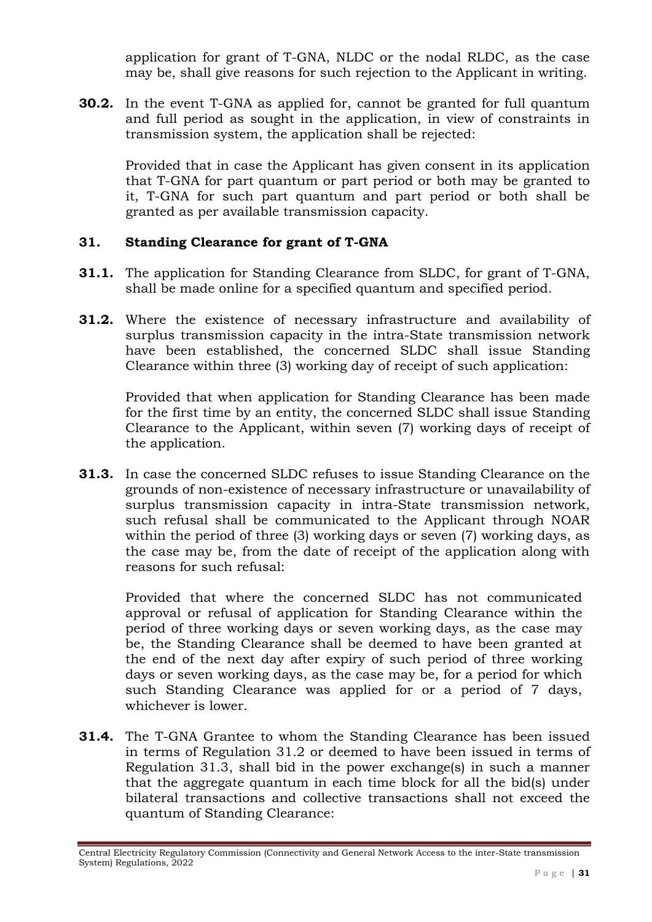application for grant of T-GNA, NLDC or the nodal RLDC, as the case may be, shall give reasons for such rejection to the Applicant in writing.

**30.2.** In the event T-GNA as applied for, cannot be granted for full quantum and full period as sought in the application, in view of constraints in transmission system, the application shall be rejected:

Provided that in case the Applicant has given consent in its application that T-GNA for part quantum or part period or both may be granted to it, T-GNA for such part quantum and part period or both shall be granted as per available transmission capacity.

## **31. Standing Clearance for grant of T-GNA**

- **31.1.** The application for Standing Clearance from SLDC, for grant of T-GNA, shall be made online for a specified quantum and specified period.
- **31.2.** Where the existence of necessary infrastructure and availability of surplus transmission capacity in the intra-State transmission network have been established, the concerned SLDC shall issue Standing Clearance within three (3) working day of receipt of such application:

Provided that when application for Standing Clearance has been made for the first time by an entity, the concerned SLDC shall issue Standing Clearance to the Applicant, within seven (7) working days of receipt of the application.

**31.3.** In case the concerned SLDC refuses to issue Standing Clearance on the grounds of non-existence of necessary infrastructure or unavailability of surplus transmission capacity in intra-State transmission network, such refusal shall be communicated to the Applicant through NOAR within the period of three (3) working days or seven (7) working days, as the case may be, from the date of receipt of the application along with reasons for such refusal:

Provided that where the concerned SLDC has not communicated approval or refusal of application for Standing Clearance within the period of three working days or seven working days, as the case may be, the Standing Clearance shall be deemed to have been granted at the end of the next day after expiry of such period of three working days or seven working days, as the case may be, for a period for which such Standing Clearance was applied for or a period of 7 days, whichever is lower.

**31.4.** The T-GNA Grantee to whom the Standing Clearance has been issued in terms of Regulation 31.2 or deemed to have been issued in terms of Regulation 31.3, shall bid in the power exchange(s) in such a manner that the aggregate quantum in each time block for all the bid(s) under bilateral transactions and collective transactions shall not exceed the quantum of Standing Clearance:

Central Electricity Regulatory Commission (Connectivity and General Network Access to the inter-State transmission System) Regulations, 2022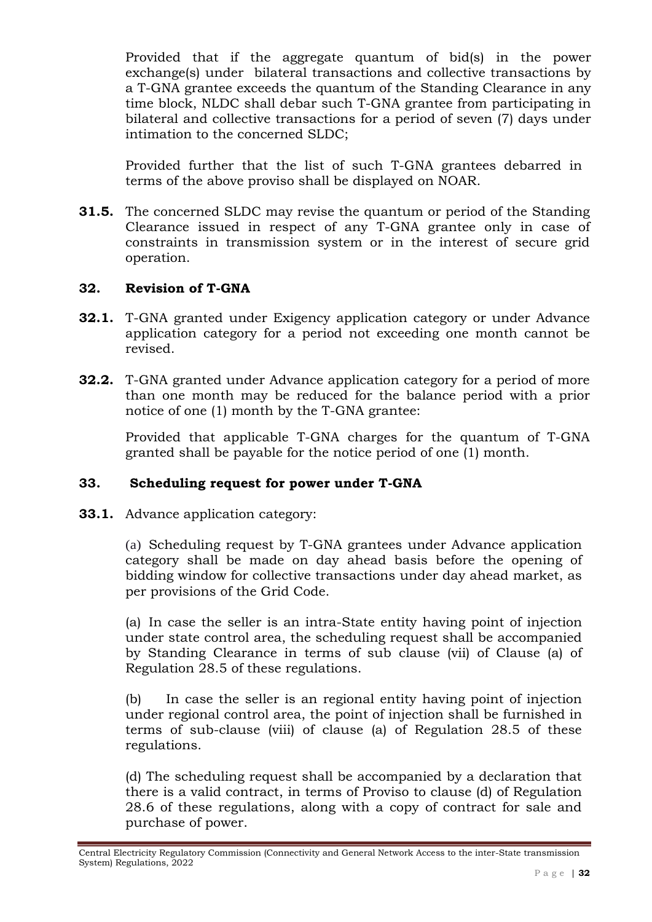Provided that if the aggregate quantum of bid(s) in the power exchange(s) under bilateral transactions and collective transactions by a T-GNA grantee exceeds the quantum of the Standing Clearance in any time block, NLDC shall debar such T-GNA grantee from participating in bilateral and collective transactions for a period of seven (7) days under intimation to the concerned SLDC;

Provided further that the list of such T-GNA grantees debarred in terms of the above proviso shall be displayed on NOAR.

**31.5.** The concerned SLDC may revise the quantum or period of the Standing Clearance issued in respect of any T-GNA grantee only in case of constraints in transmission system or in the interest of secure grid operation.

### **32. Revision of T-GNA**

- **32.1.** T-GNA granted under Exigency application category or under Advance application category for a period not exceeding one month cannot be revised.
- **32.2.** T-GNA granted under Advance application category for a period of more than one month may be reduced for the balance period with a prior notice of one (1) month by the T-GNA grantee:

Provided that applicable T-GNA charges for the quantum of T-GNA granted shall be payable for the notice period of one (1) month.

### **33. Scheduling request for power under T-GNA**

**33.1.** Advance application category:

(a) Scheduling request by T-GNA grantees under Advance application category shall be made on day ahead basis before the opening of bidding window for collective transactions under day ahead market, as per provisions of the Grid Code.

(a) In case the seller is an intra-State entity having point of injection under state control area, the scheduling request shall be accompanied by Standing Clearance in terms of sub clause (vii) of Clause (a) of Regulation 28.5 of these regulations.

(b) In case the seller is an regional entity having point of injection under regional control area, the point of injection shall be furnished in terms of sub-clause (viii) of clause (a) of Regulation 28.5 of these regulations.

(d) The scheduling request shall be accompanied by a declaration that there is a valid contract, in terms of Proviso to clause (d) of Regulation 28.6 of these regulations, along with a copy of contract for sale and purchase of power.

Central Electricity Regulatory Commission (Connectivity and General Network Access to the inter-State transmission System) Regulations, 2022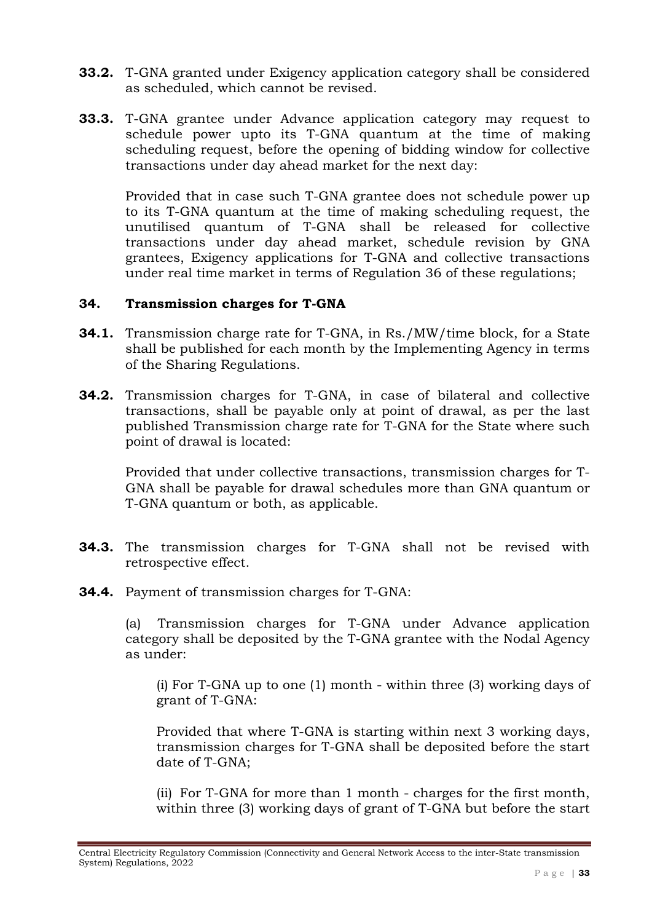- **33.2.** T-GNA granted under Exigency application category shall be considered as scheduled, which cannot be revised.
- **33.3.** T-GNA grantee under Advance application category may request to schedule power upto its T-GNA quantum at the time of making scheduling request, before the opening of bidding window for collective transactions under day ahead market for the next day:

Provided that in case such T-GNA grantee does not schedule power up to its T-GNA quantum at the time of making scheduling request, the unutilised quantum of T-GNA shall be released for collective transactions under day ahead market, schedule revision by GNA grantees, Exigency applications for T-GNA and collective transactions under real time market in terms of Regulation 36 of these regulations;

#### **34. Transmission charges for T-GNA**

- **34.1.** Transmission charge rate for T-GNA, in Rs./MW/time block, for a State shall be published for each month by the Implementing Agency in terms of the Sharing Regulations.
- **34.2.** Transmission charges for T-GNA, in case of bilateral and collective transactions, shall be payable only at point of drawal, as per the last published Transmission charge rate for T-GNA for the State where such point of drawal is located:

Provided that under collective transactions, transmission charges for T-GNA shall be payable for drawal schedules more than GNA quantum or T-GNA quantum or both, as applicable.

- **34.3.** The transmission charges for T-GNA shall not be revised with retrospective effect.
- **34.4.** Payment of transmission charges for T-GNA:

(a) Transmission charges for T-GNA under Advance application category shall be deposited by the T-GNA grantee with the Nodal Agency as under:

(i) For T-GNA up to one (1) month - within three (3) working days of grant of T-GNA:

Provided that where T-GNA is starting within next 3 working days, transmission charges for T-GNA shall be deposited before the start date of T-GNA;

(ii) For T-GNA for more than 1 month - charges for the first month, within three (3) working days of grant of T-GNA but before the start

Central Electricity Regulatory Commission (Connectivity and General Network Access to the inter-State transmission System) Regulations, 2022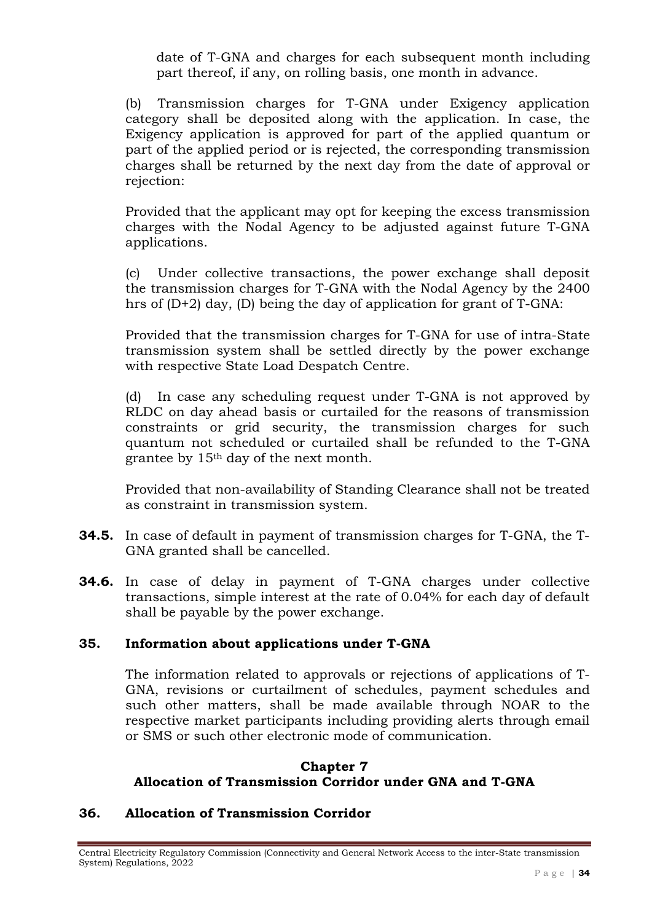date of T-GNA and charges for each subsequent month including part thereof, if any, on rolling basis, one month in advance.

(b) Transmission charges for T-GNA under Exigency application category shall be deposited along with the application. In case, the Exigency application is approved for part of the applied quantum or part of the applied period or is rejected, the corresponding transmission charges shall be returned by the next day from the date of approval or rejection:

Provided that the applicant may opt for keeping the excess transmission charges with the Nodal Agency to be adjusted against future T-GNA applications.

(c) Under collective transactions, the power exchange shall deposit the transmission charges for T-GNA with the Nodal Agency by the 2400 hrs of (D+2) day, (D) being the day of application for grant of T-GNA:

Provided that the transmission charges for T-GNA for use of intra-State transmission system shall be settled directly by the power exchange with respective State Load Despatch Centre.

(d) In case any scheduling request under T-GNA is not approved by RLDC on day ahead basis or curtailed for the reasons of transmission constraints or grid security, the transmission charges for such quantum not scheduled or curtailed shall be refunded to the T-GNA grantee by 15th day of the next month.

Provided that non-availability of Standing Clearance shall not be treated as constraint in transmission system.

- **34.5.** In case of default in payment of transmission charges for T-GNA, the T-GNA granted shall be cancelled.
- **34.6.** In case of delay in payment of T-GNA charges under collective transactions, simple interest at the rate of 0.04% for each day of default shall be payable by the power exchange.

# **35. Information about applications under T-GNA**

The information related to approvals or rejections of applications of T-GNA, revisions or curtailment of schedules, payment schedules and such other matters, shall be made available through NOAR to the respective market participants including providing alerts through email or SMS or such other electronic mode of communication.

### **Chapter 7 Allocation of Transmission Corridor under GNA and T-GNA**

# **36. Allocation of Transmission Corridor**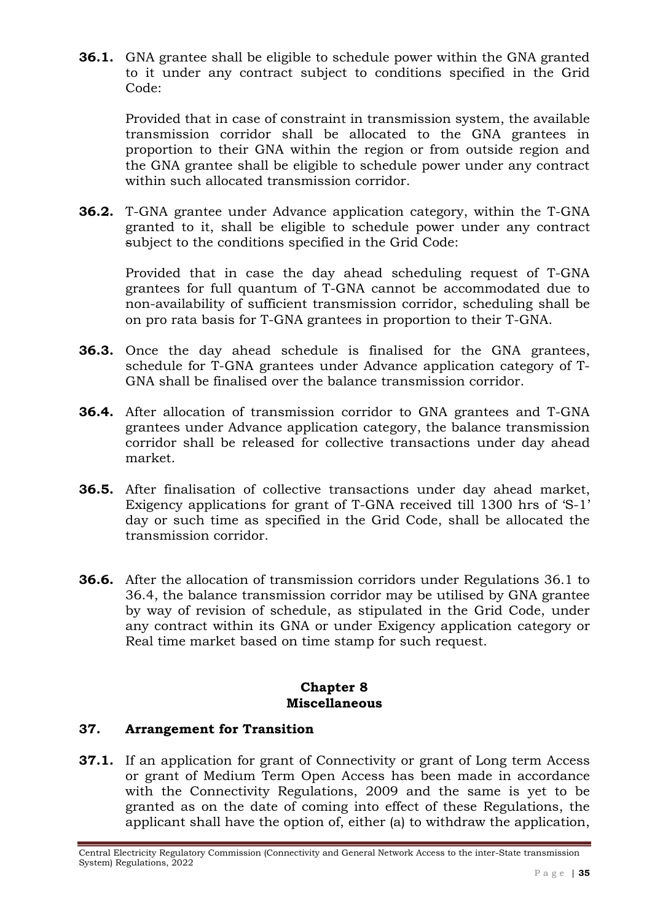**36.1.** GNA grantee shall be eligible to schedule power within the GNA granted to it under any contract subject to conditions specified in the Grid Code:

Provided that in case of constraint in transmission system, the available transmission corridor shall be allocated to the GNA grantees in proportion to their GNA within the region or from outside region and the GNA grantee shall be eligible to schedule power under any contract within such allocated transmission corridor.

**36.2.** T-GNA grantee under Advance application category, within the T-GNA granted to it, shall be eligible to schedule power under any contract subject to the conditions specified in the Grid Code:

Provided that in case the day ahead scheduling request of T-GNA grantees for full quantum of T-GNA cannot be accommodated due to non-availability of sufficient transmission corridor, scheduling shall be on pro rata basis for T-GNA grantees in proportion to their T-GNA.

- **36.3.** Once the day ahead schedule is finalised for the GNA grantees, schedule for T-GNA grantees under Advance application category of T-GNA shall be finalised over the balance transmission corridor.
- **36.4.** After allocation of transmission corridor to GNA grantees and T-GNA grantees under Advance application category, the balance transmission corridor shall be released for collective transactions under day ahead market.
- **36.5.** After finalisation of collective transactions under day ahead market, Exigency applications for grant of T-GNA received till 1300 hrs of 'S-1' day or such time as specified in the Grid Code, shall be allocated the transmission corridor.
- **36.6.** After the allocation of transmission corridors under Regulations 36.1 to 36.4, the balance transmission corridor may be utilised by GNA grantee by way of revision of schedule, as stipulated in the Grid Code, under any contract within its GNA or under Exigency application category or Real time market based on time stamp for such request.

### **Chapter 8 Miscellaneous**

### **37. Arrangement for Transition**

**37.1.** If an application for grant of Connectivity or grant of Long term Access or grant of Medium Term Open Access has been made in accordance with the Connectivity Regulations, 2009 and the same is yet to be granted as on the date of coming into effect of these Regulations, the applicant shall have the option of, either (a) to withdraw the application,

Central Electricity Regulatory Commission (Connectivity and General Network Access to the inter-State transmission System) Regulations, 2022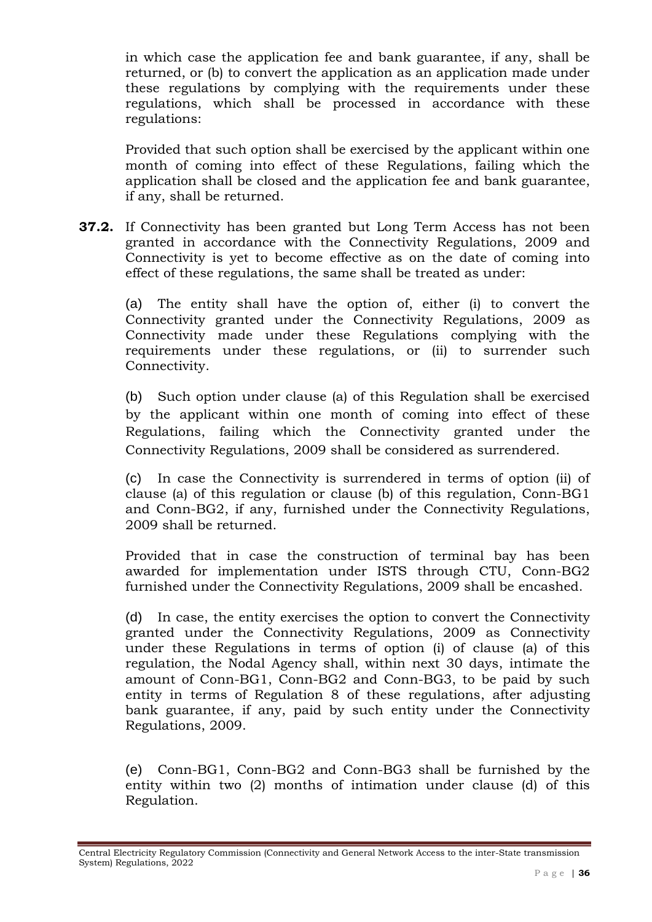in which case the application fee and bank guarantee, if any, shall be returned, or (b) to convert the application as an application made under these regulations by complying with the requirements under these regulations, which shall be processed in accordance with these regulations:

Provided that such option shall be exercised by the applicant within one month of coming into effect of these Regulations, failing which the application shall be closed and the application fee and bank guarantee, if any, shall be returned.

**37.2.** If Connectivity has been granted but Long Term Access has not been granted in accordance with the Connectivity Regulations, 2009 and Connectivity is yet to become effective as on the date of coming into effect of these regulations, the same shall be treated as under:

(a) The entity shall have the option of, either (i) to convert the Connectivity granted under the Connectivity Regulations, 2009 as Connectivity made under these Regulations complying with the requirements under these regulations, or (ii) to surrender such Connectivity.

(b) Such option under clause (a) of this Regulation shall be exercised by the applicant within one month of coming into effect of these Regulations, failing which the Connectivity granted under the Connectivity Regulations, 2009 shall be considered as surrendered.

(c) In case the Connectivity is surrendered in terms of option (ii) of clause (a) of this regulation or clause (b) of this regulation, Conn-BG1 and Conn-BG2, if any, furnished under the Connectivity Regulations, 2009 shall be returned.

Provided that in case the construction of terminal bay has been awarded for implementation under ISTS through CTU, Conn-BG2 furnished under the Connectivity Regulations, 2009 shall be encashed.

(d) In case, the entity exercises the option to convert the Connectivity granted under the Connectivity Regulations, 2009 as Connectivity under these Regulations in terms of option (i) of clause (a) of this regulation, the Nodal Agency shall, within next 30 days, intimate the amount of Conn-BG1, Conn-BG2 and Conn-BG3, to be paid by such entity in terms of Regulation 8 of these regulations, after adjusting bank guarantee, if any, paid by such entity under the Connectivity Regulations, 2009.

(e) Conn-BG1, Conn-BG2 and Conn-BG3 shall be furnished by the entity within two (2) months of intimation under clause (d) of this Regulation.

Central Electricity Regulatory Commission (Connectivity and General Network Access to the inter-State transmission System) Regulations, 2022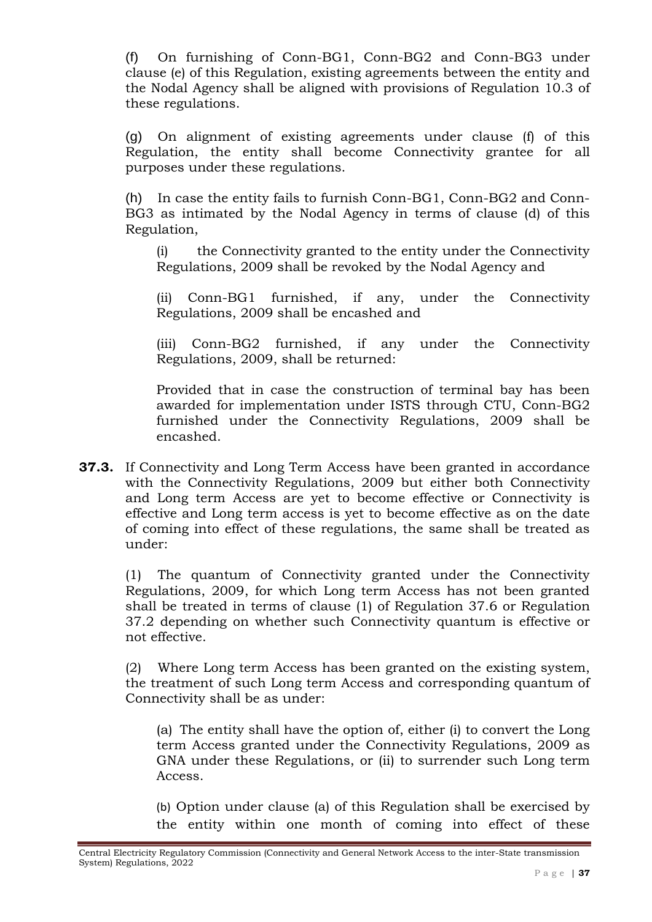(f) On furnishing of Conn-BG1, Conn-BG2 and Conn-BG3 under clause (e) of this Regulation, existing agreements between the entity and the Nodal Agency shall be aligned with provisions of Regulation 10.3 of these regulations.

(g) On alignment of existing agreements under clause (f) of this Regulation, the entity shall become Connectivity grantee for all purposes under these regulations.

(h) In case the entity fails to furnish Conn-BG1, Conn-BG2 and Conn-BG3 as intimated by the Nodal Agency in terms of clause (d) of this Regulation,

(i) the Connectivity granted to the entity under the Connectivity Regulations, 2009 shall be revoked by the Nodal Agency and

(ii) Conn-BG1 furnished, if any, under the Connectivity Regulations, 2009 shall be encashed and

(iii) Conn-BG2 furnished, if any under the Connectivity Regulations, 2009, shall be returned:

Provided that in case the construction of terminal bay has been awarded for implementation under ISTS through CTU, Conn-BG2 furnished under the Connectivity Regulations, 2009 shall be encashed.

**37.3.** If Connectivity and Long Term Access have been granted in accordance with the Connectivity Regulations, 2009 but either both Connectivity and Long term Access are yet to become effective or Connectivity is effective and Long term access is yet to become effective as on the date of coming into effect of these regulations, the same shall be treated as under:

(1) The quantum of Connectivity granted under the Connectivity Regulations, 2009, for which Long term Access has not been granted shall be treated in terms of clause (1) of Regulation 37.6 or Regulation 37.2 depending on whether such Connectivity quantum is effective or not effective.

(2) Where Long term Access has been granted on the existing system, the treatment of such Long term Access and corresponding quantum of Connectivity shall be as under:

(a) The entity shall have the option of, either (i) to convert the Long term Access granted under the Connectivity Regulations, 2009 as GNA under these Regulations, or (ii) to surrender such Long term Access.

(b) Option under clause (a) of this Regulation shall be exercised by the entity within one month of coming into effect of these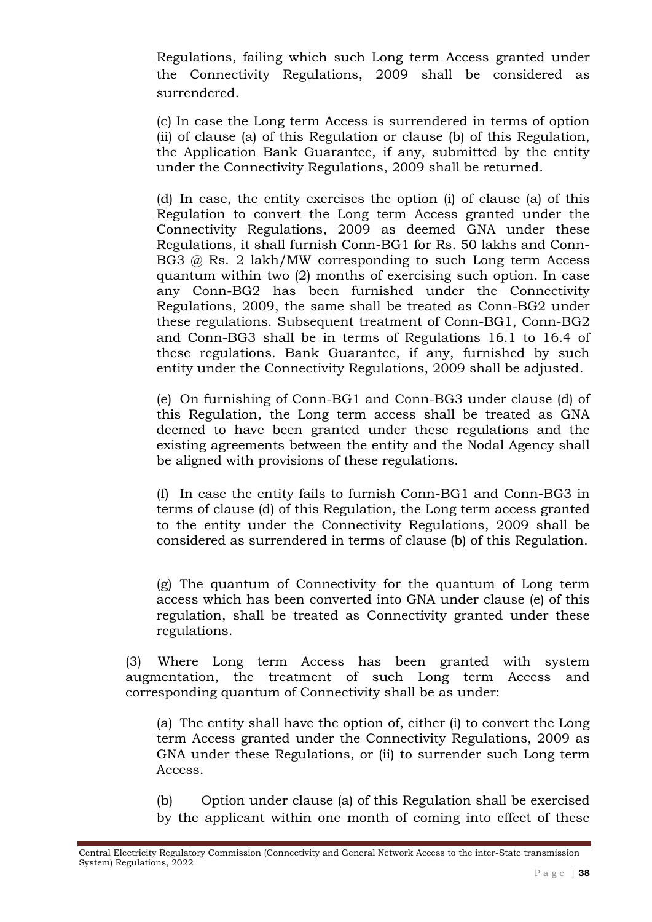Regulations, failing which such Long term Access granted under the Connectivity Regulations, 2009 shall be considered as surrendered.

(c) In case the Long term Access is surrendered in terms of option (ii) of clause (a) of this Regulation or clause (b) of this Regulation, the Application Bank Guarantee, if any, submitted by the entity under the Connectivity Regulations, 2009 shall be returned.

(d) In case, the entity exercises the option (i) of clause (a) of this Regulation to convert the Long term Access granted under the Connectivity Regulations, 2009 as deemed GNA under these Regulations, it shall furnish Conn-BG1 for Rs. 50 lakhs and Conn-BG3 @ Rs. 2 lakh/MW corresponding to such Long term Access quantum within two (2) months of exercising such option. In case any Conn-BG2 has been furnished under the Connectivity Regulations, 2009, the same shall be treated as Conn-BG2 under these regulations. Subsequent treatment of Conn-BG1, Conn-BG2 and Conn-BG3 shall be in terms of Regulations 16.1 to 16.4 of these regulations. Bank Guarantee, if any, furnished by such entity under the Connectivity Regulations, 2009 shall be adjusted.

(e) On furnishing of Conn-BG1 and Conn-BG3 under clause (d) of this Regulation, the Long term access shall be treated as GNA deemed to have been granted under these regulations and the existing agreements between the entity and the Nodal Agency shall be aligned with provisions of these regulations.

(f) In case the entity fails to furnish Conn-BG1 and Conn-BG3 in terms of clause (d) of this Regulation, the Long term access granted to the entity under the Connectivity Regulations, 2009 shall be considered as surrendered in terms of clause (b) of this Regulation.

(g) The quantum of Connectivity for the quantum of Long term access which has been converted into GNA under clause (e) of this regulation, shall be treated as Connectivity granted under these regulations.

(3) Where Long term Access has been granted with system augmentation, the treatment of such Long term Access and corresponding quantum of Connectivity shall be as under:

(a) The entity shall have the option of, either (i) to convert the Long term Access granted under the Connectivity Regulations, 2009 as GNA under these Regulations, or (ii) to surrender such Long term Access.

(b) Option under clause (a) of this Regulation shall be exercised by the applicant within one month of coming into effect of these

Central Electricity Regulatory Commission (Connectivity and General Network Access to the inter-State transmission System) Regulations, 2022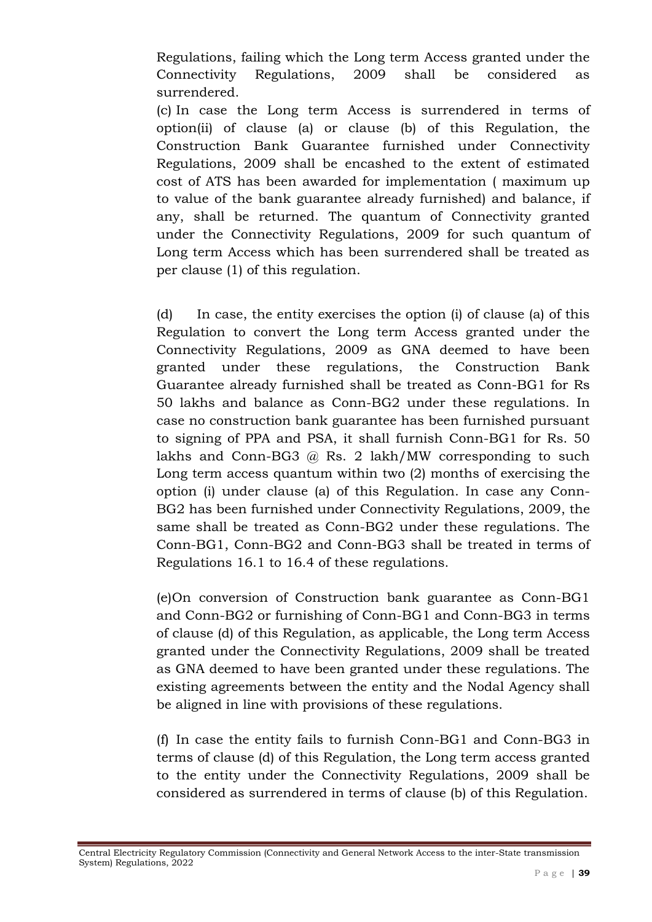Regulations, failing which the Long term Access granted under the Connectivity Regulations, 2009 shall be considered as surrendered.

(c) In case the Long term Access is surrendered in terms of option(ii) of clause (a) or clause (b) of this Regulation, the Construction Bank Guarantee furnished under Connectivity Regulations, 2009 shall be encashed to the extent of estimated cost of ATS has been awarded for implementation ( maximum up to value of the bank guarantee already furnished) and balance, if any, shall be returned. The quantum of Connectivity granted under the Connectivity Regulations, 2009 for such quantum of Long term Access which has been surrendered shall be treated as per clause (1) of this regulation.

(d) In case, the entity exercises the option (i) of clause (a) of this Regulation to convert the Long term Access granted under the Connectivity Regulations, 2009 as GNA deemed to have been granted under these regulations, the Construction Bank Guarantee already furnished shall be treated as Conn-BG1 for Rs 50 lakhs and balance as Conn-BG2 under these regulations. In case no construction bank guarantee has been furnished pursuant to signing of PPA and PSA, it shall furnish Conn-BG1 for Rs. 50 lakhs and Conn-BG3  $\omega$  Rs. 2 lakh/MW corresponding to such Long term access quantum within two (2) months of exercising the option (i) under clause (a) of this Regulation. In case any Conn-BG2 has been furnished under Connectivity Regulations, 2009, the same shall be treated as Conn-BG2 under these regulations. The Conn-BG1, Conn-BG2 and Conn-BG3 shall be treated in terms of Regulations 16.1 to 16.4 of these regulations.

(e)On conversion of Construction bank guarantee as Conn-BG1 and Conn-BG2 or furnishing of Conn-BG1 and Conn-BG3 in terms of clause (d) of this Regulation, as applicable, the Long term Access granted under the Connectivity Regulations, 2009 shall be treated as GNA deemed to have been granted under these regulations. The existing agreements between the entity and the Nodal Agency shall be aligned in line with provisions of these regulations.

(f) In case the entity fails to furnish Conn-BG1 and Conn-BG3 in terms of clause (d) of this Regulation, the Long term access granted to the entity under the Connectivity Regulations, 2009 shall be considered as surrendered in terms of clause (b) of this Regulation.

Central Electricity Regulatory Commission (Connectivity and General Network Access to the inter-State transmission System) Regulations, 2022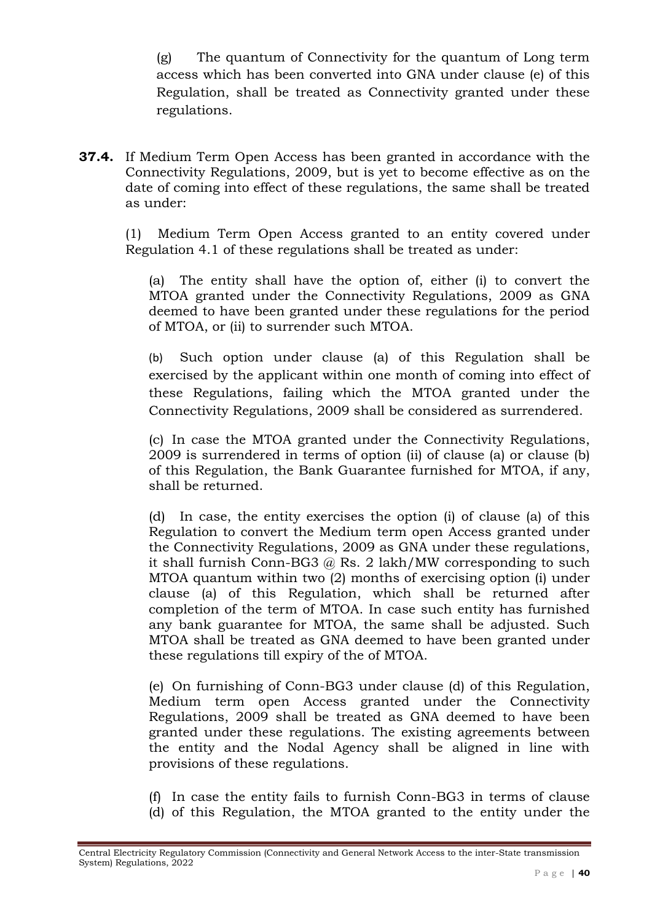(g) The quantum of Connectivity for the quantum of Long term access which has been converted into GNA under clause (e) of this Regulation, shall be treated as Connectivity granted under these regulations.

**37.4.** If Medium Term Open Access has been granted in accordance with the Connectivity Regulations, 2009, but is yet to become effective as on the date of coming into effect of these regulations, the same shall be treated as under:

(1) Medium Term Open Access granted to an entity covered under Regulation 4.1 of these regulations shall be treated as under:

(a) The entity shall have the option of, either (i) to convert the MTOA granted under the Connectivity Regulations, 2009 as GNA deemed to have been granted under these regulations for the period of MTOA, or (ii) to surrender such MTOA.

(b) Such option under clause (a) of this Regulation shall be exercised by the applicant within one month of coming into effect of these Regulations, failing which the MTOA granted under the Connectivity Regulations, 2009 shall be considered as surrendered.

(c) In case the MTOA granted under the Connectivity Regulations, 2009 is surrendered in terms of option (ii) of clause (a) or clause (b) of this Regulation, the Bank Guarantee furnished for MTOA, if any, shall be returned.

(d) In case, the entity exercises the option (i) of clause (a) of this Regulation to convert the Medium term open Access granted under the Connectivity Regulations, 2009 as GNA under these regulations, it shall furnish Conn-BG3  $@$  Rs. 2 lakh/MW corresponding to such MTOA quantum within two (2) months of exercising option (i) under clause (a) of this Regulation, which shall be returned after completion of the term of MTOA. In case such entity has furnished any bank guarantee for MTOA, the same shall be adjusted. Such MTOA shall be treated as GNA deemed to have been granted under these regulations till expiry of the of MTOA.

(e) On furnishing of Conn-BG3 under clause (d) of this Regulation, Medium term open Access granted under the Connectivity Regulations, 2009 shall be treated as GNA deemed to have been granted under these regulations. The existing agreements between the entity and the Nodal Agency shall be aligned in line with provisions of these regulations.

(f) In case the entity fails to furnish Conn-BG3 in terms of clause (d) of this Regulation, the MTOA granted to the entity under the

Central Electricity Regulatory Commission (Connectivity and General Network Access to the inter-State transmission System) Regulations, 2022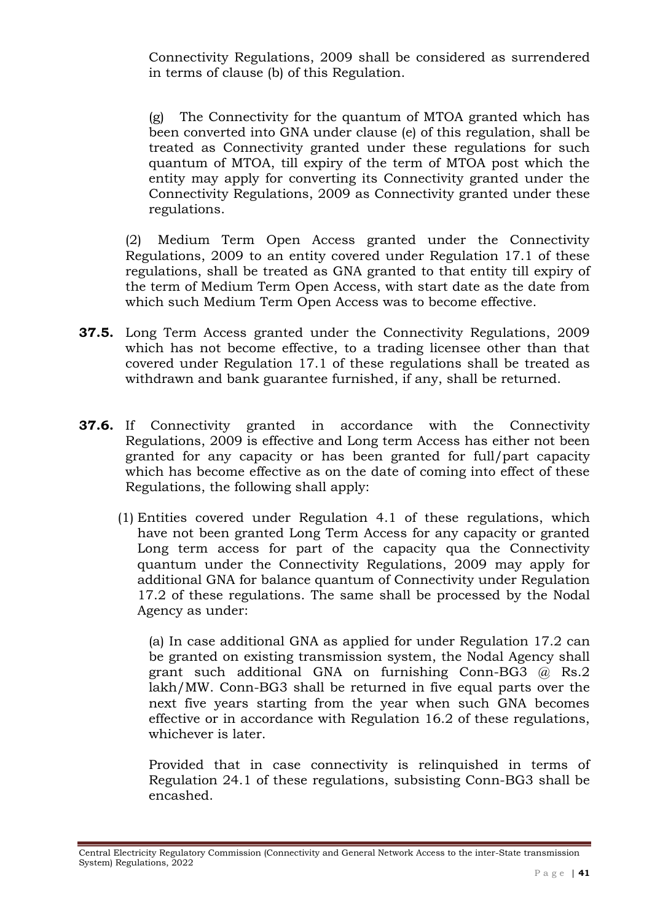Connectivity Regulations, 2009 shall be considered as surrendered in terms of clause (b) of this Regulation.

(g) The Connectivity for the quantum of MTOA granted which has been converted into GNA under clause (e) of this regulation, shall be treated as Connectivity granted under these regulations for such quantum of MTOA, till expiry of the term of MTOA post which the entity may apply for converting its Connectivity granted under the Connectivity Regulations, 2009 as Connectivity granted under these regulations.

(2) Medium Term Open Access granted under the Connectivity Regulations, 2009 to an entity covered under Regulation 17.1 of these regulations, shall be treated as GNA granted to that entity till expiry of the term of Medium Term Open Access, with start date as the date from which such Medium Term Open Access was to become effective.

- **37.5.** Long Term Access granted under the Connectivity Regulations, 2009 which has not become effective, to a trading licensee other than that covered under Regulation 17.1 of these regulations shall be treated as withdrawn and bank guarantee furnished, if any, shall be returned.
- **37.6.** If Connectivity granted in accordance with the Connectivity Regulations, 2009 is effective and Long term Access has either not been granted for any capacity or has been granted for full/part capacity which has become effective as on the date of coming into effect of these Regulations, the following shall apply:
	- (1) Entities covered under Regulation 4.1 of these regulations, which have not been granted Long Term Access for any capacity or granted Long term access for part of the capacity qua the Connectivity quantum under the Connectivity Regulations, 2009 may apply for additional GNA for balance quantum of Connectivity under Regulation 17.2 of these regulations. The same shall be processed by the Nodal Agency as under:

(a) In case additional GNA as applied for under Regulation 17.2 can be granted on existing transmission system, the Nodal Agency shall grant such additional GNA on furnishing Conn-BG3 @ Rs.2 lakh/MW. Conn-BG3 shall be returned in five equal parts over the next five years starting from the year when such GNA becomes effective or in accordance with Regulation 16.2 of these regulations, whichever is later.

Provided that in case connectivity is relinquished in terms of Regulation 24.1 of these regulations, subsisting Conn-BG3 shall be encashed.

Central Electricity Regulatory Commission (Connectivity and General Network Access to the inter-State transmission System) Regulations, 2022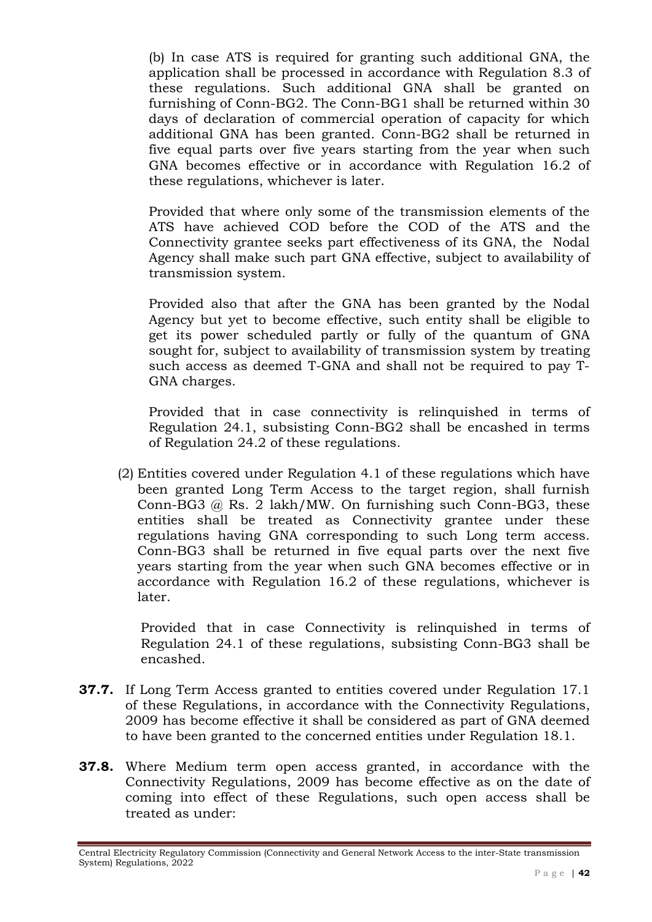(b) In case ATS is required for granting such additional GNA, the application shall be processed in accordance with Regulation 8.3 of these regulations. Such additional GNA shall be granted on furnishing of Conn-BG2. The Conn-BG1 shall be returned within 30 days of declaration of commercial operation of capacity for which additional GNA has been granted. Conn-BG2 shall be returned in five equal parts over five years starting from the year when such GNA becomes effective or in accordance with Regulation 16.2 of these regulations, whichever is later.

Provided that where only some of the transmission elements of the ATS have achieved COD before the COD of the ATS and the Connectivity grantee seeks part effectiveness of its GNA, the Nodal Agency shall make such part GNA effective, subject to availability of transmission system.

Provided also that after the GNA has been granted by the Nodal Agency but yet to become effective, such entity shall be eligible to get its power scheduled partly or fully of the quantum of GNA sought for, subject to availability of transmission system by treating such access as deemed T-GNA and shall not be required to pay T-GNA charges.

Provided that in case connectivity is relinquished in terms of Regulation 24.1, subsisting Conn-BG2 shall be encashed in terms of Regulation 24.2 of these regulations.

(2) Entities covered under Regulation 4.1 of these regulations which have been granted Long Term Access to the target region, shall furnish Conn-BG3 @ Rs. 2 lakh/MW. On furnishing such Conn-BG3, these entities shall be treated as Connectivity grantee under these regulations having GNA corresponding to such Long term access. Conn-BG3 shall be returned in five equal parts over the next five years starting from the year when such GNA becomes effective or in accordance with Regulation 16.2 of these regulations, whichever is later.

Provided that in case Connectivity is relinquished in terms of Regulation 24.1 of these regulations, subsisting Conn-BG3 shall be encashed.

- **37.7.** If Long Term Access granted to entities covered under Regulation 17.1 of these Regulations, in accordance with the Connectivity Regulations, 2009 has become effective it shall be considered as part of GNA deemed to have been granted to the concerned entities under Regulation 18.1.
- **37.8.** Where Medium term open access granted, in accordance with the Connectivity Regulations, 2009 has become effective as on the date of coming into effect of these Regulations, such open access shall be treated as under:

Central Electricity Regulatory Commission (Connectivity and General Network Access to the inter-State transmission System) Regulations, 2022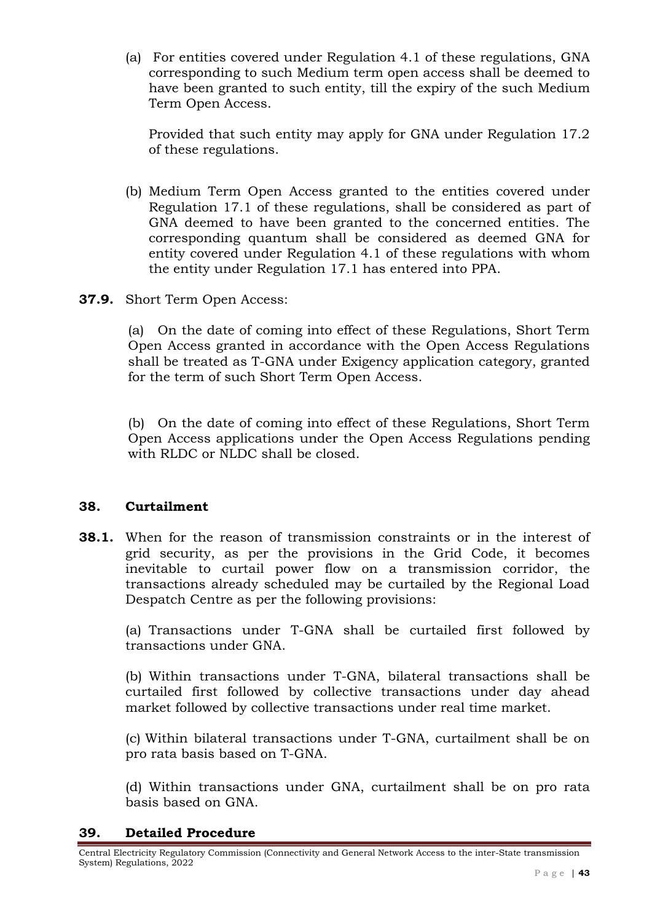(a) For entities covered under Regulation 4.1 of these regulations, GNA corresponding to such Medium term open access shall be deemed to have been granted to such entity, till the expiry of the such Medium Term Open Access.

Provided that such entity may apply for GNA under Regulation 17.2 of these regulations.

- (b) Medium Term Open Access granted to the entities covered under Regulation 17.1 of these regulations, shall be considered as part of GNA deemed to have been granted to the concerned entities. The corresponding quantum shall be considered as deemed GNA for entity covered under Regulation 4.1 of these regulations with whom the entity under Regulation 17.1 has entered into PPA.
- **37.9.** Short Term Open Access:

(a) On the date of coming into effect of these Regulations, Short Term Open Access granted in accordance with the Open Access Regulations shall be treated as T-GNA under Exigency application category, granted for the term of such Short Term Open Access.

(b) On the date of coming into effect of these Regulations, Short Term Open Access applications under the Open Access Regulations pending with RLDC or NLDC shall be closed.

### **38. Curtailment**

**38.1.** When for the reason of transmission constraints or in the interest of grid security, as per the provisions in the Grid Code, it becomes inevitable to curtail power flow on a transmission corridor, the transactions already scheduled may be curtailed by the Regional Load Despatch Centre as per the following provisions:

(a) Transactions under T-GNA shall be curtailed first followed by transactions under GNA.

(b) Within transactions under T-GNA, bilateral transactions shall be curtailed first followed by collective transactions under day ahead market followed by collective transactions under real time market.

(c) Within bilateral transactions under T-GNA, curtailment shall be on pro rata basis based on T-GNA.

(d) Within transactions under GNA, curtailment shall be on pro rata basis based on GNA.

### **39. Detailed Procedure**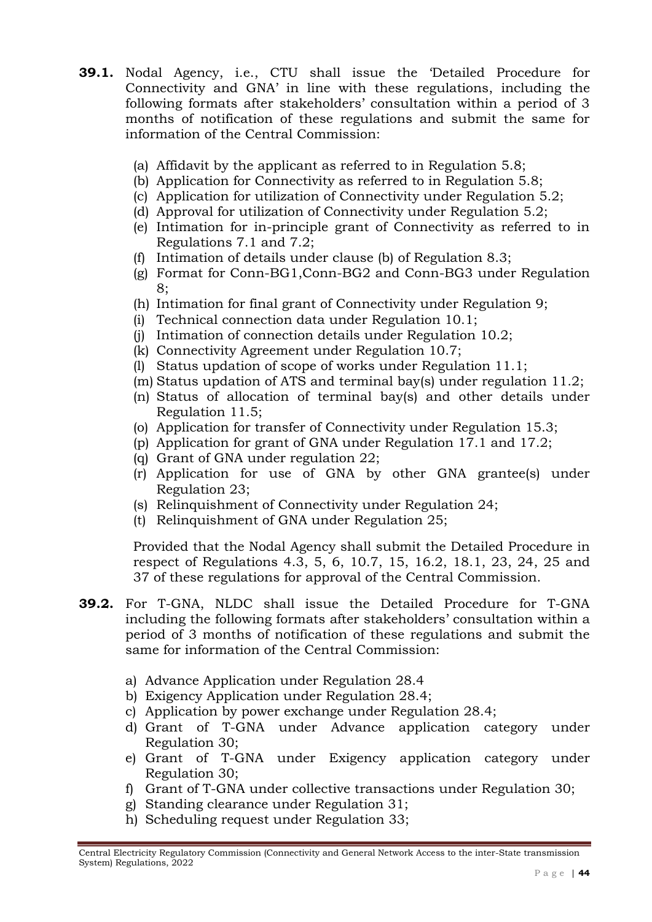- **39.1.** Nodal Agency, i.e., CTU shall issue the 'Detailed Procedure for Connectivity and GNA' in line with these regulations, including the following formats after stakeholders' consultation within a period of 3 months of notification of these regulations and submit the same for information of the Central Commission:
	- (a) Affidavit by the applicant as referred to in Regulation 5.8;
	- (b) Application for Connectivity as referred to in Regulation 5.8;
	- (c) Application for utilization of Connectivity under Regulation 5.2;
	- (d) Approval for utilization of Connectivity under Regulation 5.2;
	- (e) Intimation for in-principle grant of Connectivity as referred to in Regulations 7.1 and 7.2;
	- (f) Intimation of details under clause (b) of Regulation 8.3;
	- (g) Format for Conn-BG1,Conn-BG2 and Conn-BG3 under Regulation 8;
	- (h) Intimation for final grant of Connectivity under Regulation 9;
	- (i) Technical connection data under Regulation 10.1;
	- (j) Intimation of connection details under Regulation 10.2;
	- (k) Connectivity Agreement under Regulation 10.7;
	- (l) Status updation of scope of works under Regulation 11.1;
	- (m) Status updation of ATS and terminal bay(s) under regulation 11.2;
	- (n) Status of allocation of terminal bay(s) and other details under Regulation 11.5;
	- (o) Application for transfer of Connectivity under Regulation 15.3;
	- (p) Application for grant of GNA under Regulation 17.1 and 17.2;
	- (q) Grant of GNA under regulation 22;
	- (r) Application for use of GNA by other GNA grantee(s) under Regulation 23;
	- (s) Relinquishment of Connectivity under Regulation 24;
	- (t) Relinquishment of GNA under Regulation 25;

Provided that the Nodal Agency shall submit the Detailed Procedure in respect of Regulations 4.3, 5, 6, 10.7, 15, 16.2, 18.1, 23, 24, 25 and 37 of these regulations for approval of the Central Commission.

- **39.2.** For T-GNA, NLDC shall issue the Detailed Procedure for T-GNA including the following formats after stakeholders' consultation within a period of 3 months of notification of these regulations and submit the same for information of the Central Commission:
	- a) Advance Application under Regulation 28.4
	- b) Exigency Application under Regulation 28.4;
	- c) Application by power exchange under Regulation 28.4;
	- d) Grant of T-GNA under Advance application category under Regulation 30;
	- e) Grant of T-GNA under Exigency application category under Regulation 30;
	- f) Grant of T-GNA under collective transactions under Regulation 30;
	- g) Standing clearance under Regulation 31;
	- h) Scheduling request under Regulation 33;

Central Electricity Regulatory Commission (Connectivity and General Network Access to the inter-State transmission System) Regulations, 2022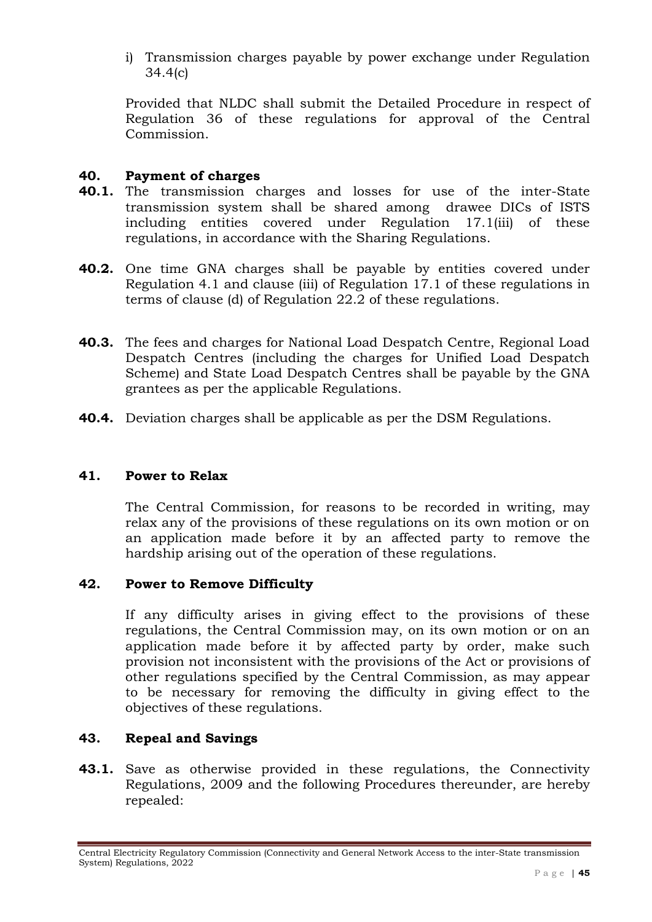i) Transmission charges payable by power exchange under Regulation 34.4(c)

Provided that NLDC shall submit the Detailed Procedure in respect of Regulation 36 of these regulations for approval of the Central Commission.

### **40. Payment of charges**

- **40.1.** The transmission charges and losses for use of the inter-State transmission system shall be shared among drawee DICs of ISTS including entities covered under Regulation 17.1(iii) of these regulations, in accordance with the Sharing Regulations.
- **40.2.** One time GNA charges shall be payable by entities covered under Regulation 4.1 and clause (iii) of Regulation 17.1 of these regulations in terms of clause (d) of Regulation 22.2 of these regulations.
- **40.3.** The fees and charges for National Load Despatch Centre, Regional Load Despatch Centres (including the charges for Unified Load Despatch Scheme) and State Load Despatch Centres shall be payable by the GNA grantees as per the applicable Regulations.
- **40.4.** Deviation charges shall be applicable as per the DSM Regulations.

#### **41. Power to Relax**

The Central Commission, for reasons to be recorded in writing, may relax any of the provisions of these regulations on its own motion or on an application made before it by an affected party to remove the hardship arising out of the operation of these regulations.

#### **42. Power to Remove Difficulty**

If any difficulty arises in giving effect to the provisions of these regulations, the Central Commission may, on its own motion or on an application made before it by affected party by order, make such provision not inconsistent with the provisions of the Act or provisions of other regulations specified by the Central Commission, as may appear to be necessary for removing the difficulty in giving effect to the objectives of these regulations.

### **43. Repeal and Savings**

**43.1.** Save as otherwise provided in these regulations, the Connectivity Regulations, 2009 and the following Procedures thereunder, are hereby repealed:

Central Electricity Regulatory Commission (Connectivity and General Network Access to the inter-State transmission System) Regulations, 2022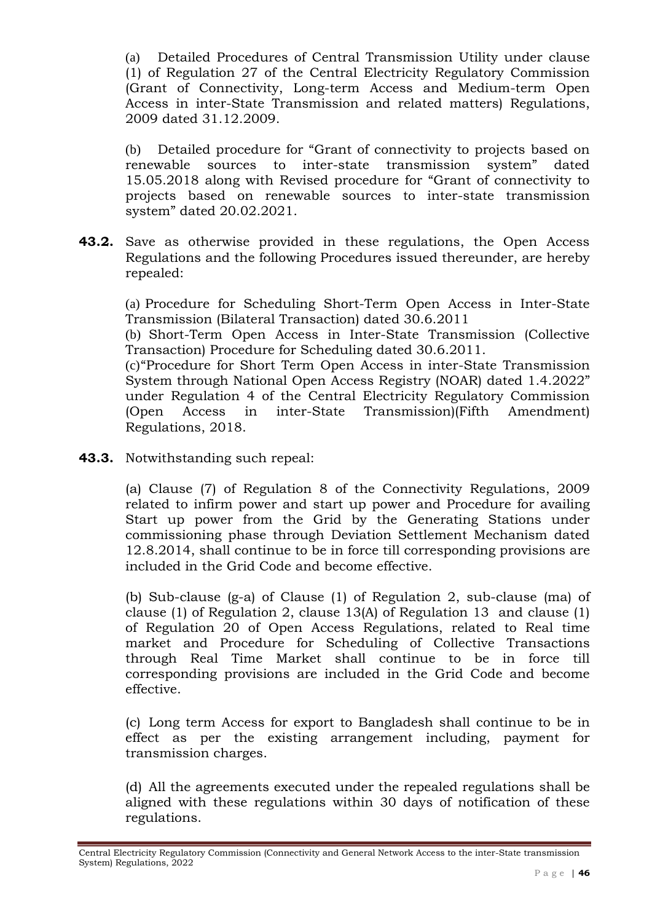(a) Detailed Procedures of Central Transmission Utility under clause (1) of Regulation 27 of the Central Electricity Regulatory Commission (Grant of Connectivity, Long-term Access and Medium-term Open Access in inter-State Transmission and related matters) Regulations, 2009 dated 31.12.2009.

(b) Detailed procedure for "Grant of connectivity to projects based on renewable sources to inter-state transmission system" dated 15.05.2018 along with Revised procedure for "Grant of connectivity to projects based on renewable sources to inter-state transmission system" dated 20.02.2021.

**43.2.** Save as otherwise provided in these regulations, the Open Access Regulations and the following Procedures issued thereunder, are hereby repealed:

(a) Procedure for Scheduling Short-Term Open Access in Inter-State Transmission (Bilateral Transaction) dated 30.6.2011

(b) Short-Term Open Access in Inter-State Transmission (Collective Transaction) Procedure for Scheduling dated 30.6.2011.

(c)"Procedure for Short Term Open Access in inter-State Transmission System through National Open Access Registry (NOAR) dated 1.4.2022" under Regulation 4 of the Central Electricity Regulatory Commission (Open Access in inter-State Transmission)(Fifth Amendment) Regulations, 2018.

**43.3.** Notwithstanding such repeal:

(a) Clause (7) of Regulation 8 of the Connectivity Regulations, 2009 related to infirm power and start up power and Procedure for availing Start up power from the Grid by the Generating Stations under commissioning phase through Deviation Settlement Mechanism dated 12.8.2014, shall continue to be in force till corresponding provisions are included in the Grid Code and become effective.

(b) Sub-clause (g-a) of Clause (1) of Regulation 2, sub-clause (ma) of clause (1) of Regulation 2, clause 13(A) of Regulation 13 and clause (1) of Regulation 20 of Open Access Regulations, related to Real time market and Procedure for Scheduling of Collective Transactions through Real Time Market shall continue to be in force till corresponding provisions are included in the Grid Code and become effective.

(c) Long term Access for export to Bangladesh shall continue to be in effect as per the existing arrangement including, payment for transmission charges.

(d) All the agreements executed under the repealed regulations shall be aligned with these regulations within 30 days of notification of these regulations.

Central Electricity Regulatory Commission (Connectivity and General Network Access to the inter-State transmission System) Regulations, 2022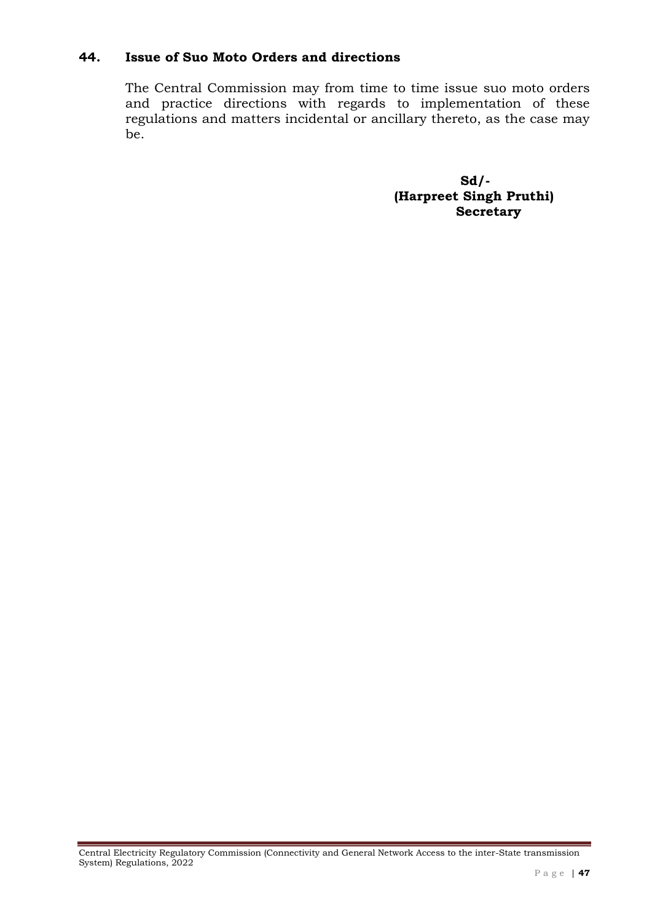### **44. Issue of Suo Moto Orders and directions**

The Central Commission may from time to time issue suo moto orders and practice directions with regards to implementation of these regulations and matters incidental or ancillary thereto, as the case may be.

> **Sd/- (Harpreet Singh Pruthi) Secretary**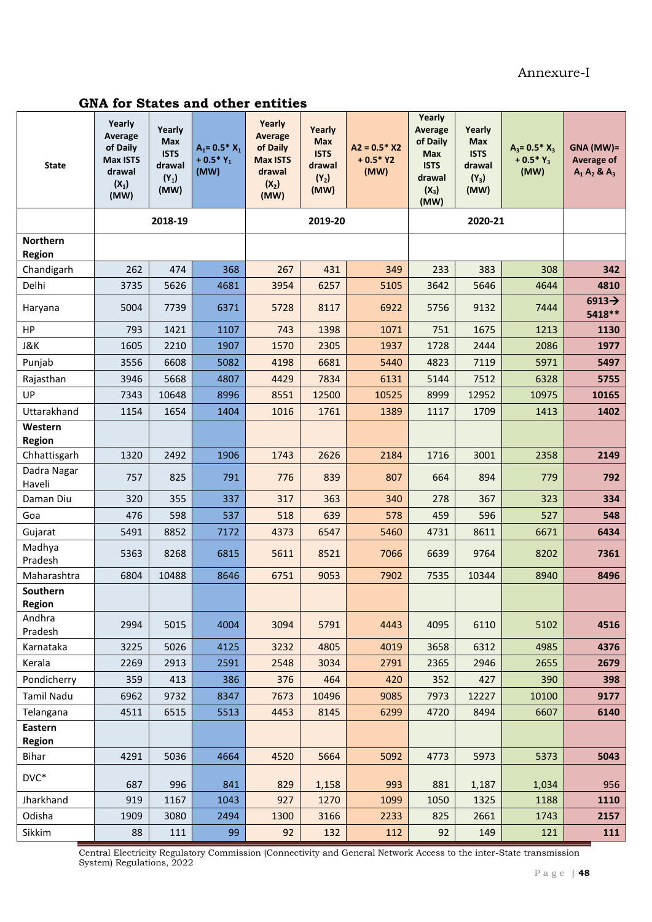#### Annexure-I

### **GNA for States and other entities**

| <b>State</b>                     | Yearly<br>Average<br>of Daily<br><b>Max ISTS</b><br>drawal<br>$(X_1)$<br>(MW) | Yearly<br>Max<br><b>ISTS</b><br>drawal<br>$(Y_1)$<br>(MW) | $A_1 = 0.5 * X_1$<br>+ $0.5*Y_1$<br>(MW) | Yearly<br><b>Average</b><br>of Daily<br><b>Max ISTS</b><br>drawal<br>$(X_2)$<br>(MW) | Yearly<br><b>Max</b><br><b>ISTS</b><br>drawal<br>$(Y_2)$<br>(MW) | $A2 = 0.5*X2$<br>$+0.5*Y2$<br>(MW) | Yearly<br>Average<br>of Daily<br><b>Max</b><br><b>ISTS</b><br>drawal<br>$(X_3)$<br>(MW) | Yearly<br><b>Max</b><br><b>ISTS</b><br>drawal<br>$(Y_3)$<br>(MW) | $A_3 = 0.5 * X_3$<br>+ $0.5*Y_3$<br>(MW) | GNA (MW)=<br><b>Average of</b><br>$A_1 A_2 8 A_3$ |
|----------------------------------|-------------------------------------------------------------------------------|-----------------------------------------------------------|------------------------------------------|--------------------------------------------------------------------------------------|------------------------------------------------------------------|------------------------------------|-----------------------------------------------------------------------------------------|------------------------------------------------------------------|------------------------------------------|---------------------------------------------------|
|                                  |                                                                               | 2018-19                                                   |                                          |                                                                                      | 2019-20                                                          |                                    |                                                                                         | 2020-21                                                          |                                          |                                                   |
| <b>Northern</b><br><b>Region</b> |                                                                               |                                                           |                                          |                                                                                      |                                                                  |                                    |                                                                                         |                                                                  |                                          |                                                   |
| Chandigarh                       | 262                                                                           | 474                                                       | 368                                      | 267                                                                                  | 431                                                              | 349                                | 233                                                                                     | 383                                                              | 308                                      | 342                                               |
| Delhi                            | 3735                                                                          | 5626                                                      | 4681                                     | 3954                                                                                 | 6257                                                             | 5105                               | 3642                                                                                    | 5646                                                             | 4644                                     | 4810                                              |
| Haryana                          | 5004                                                                          | 7739                                                      | 6371                                     | 5728                                                                                 | 8117                                                             | 6922                               | 5756                                                                                    | 9132                                                             | 7444                                     | $6913 \rightarrow$<br>5418**                      |
| HP                               | 793                                                                           | 1421                                                      | 1107                                     | 743                                                                                  | 1398                                                             | 1071                               | 751                                                                                     | 1675                                                             | 1213                                     | 1130                                              |
| <b>J&amp;K</b>                   | 1605                                                                          | 2210                                                      | 1907                                     | 1570                                                                                 | 2305                                                             | 1937                               | 1728                                                                                    | 2444                                                             | 2086                                     | 1977                                              |
| Punjab                           | 3556                                                                          | 6608                                                      | 5082                                     | 4198                                                                                 | 6681                                                             | 5440                               | 4823                                                                                    | 7119                                                             | 5971                                     | 5497                                              |
| Rajasthan                        | 3946                                                                          | 5668                                                      | 4807                                     | 4429                                                                                 | 7834                                                             | 6131                               | 5144                                                                                    | 7512                                                             | 6328                                     | 5755                                              |
| UP                               | 7343                                                                          | 10648                                                     | 8996                                     | 8551                                                                                 | 12500                                                            | 10525                              | 8999                                                                                    | 12952                                                            | 10975                                    | 10165                                             |
| Uttarakhand                      | 1154                                                                          | 1654                                                      | 1404                                     | 1016                                                                                 | 1761                                                             | 1389                               | 1117                                                                                    | 1709                                                             | 1413                                     | 1402                                              |
| Western<br><b>Region</b>         |                                                                               |                                                           |                                          |                                                                                      |                                                                  |                                    |                                                                                         |                                                                  |                                          |                                                   |
| Chhattisgarh                     | 1320                                                                          | 2492                                                      | 1906                                     | 1743                                                                                 | 2626                                                             | 2184                               | 1716                                                                                    | 3001                                                             | 2358                                     | 2149                                              |
| Dadra Nagar<br>Haveli            | 757                                                                           | 825                                                       | 791                                      | 776                                                                                  | 839                                                              | 807                                | 664                                                                                     | 894                                                              | 779                                      | 792                                               |
| Daman Diu                        | 320                                                                           | 355                                                       | 337                                      | 317                                                                                  | 363                                                              | 340                                | 278                                                                                     | 367                                                              | 323                                      | 334                                               |
| Goa                              | 476                                                                           | 598                                                       | 537                                      | 518                                                                                  | 639                                                              | 578                                | 459                                                                                     | 596                                                              | 527                                      | 548                                               |
| Gujarat                          | 5491                                                                          | 8852                                                      | 7172                                     | 4373                                                                                 | 6547                                                             | 5460                               | 4731                                                                                    | 8611                                                             | 6671                                     | 6434                                              |
| Madhya<br>Pradesh                | 5363                                                                          | 8268                                                      | 6815                                     | 5611                                                                                 | 8521                                                             | 7066                               | 6639                                                                                    | 9764                                                             | 8202                                     | 7361                                              |
| Maharashtra                      | 6804                                                                          | 10488                                                     | 8646                                     | 6751                                                                                 | 9053                                                             | 7902                               | 7535                                                                                    | 10344                                                            | 8940                                     | 8496                                              |
| Southern                         |                                                                               |                                                           |                                          |                                                                                      |                                                                  |                                    |                                                                                         |                                                                  |                                          |                                                   |
| Region<br>Andhra                 |                                                                               |                                                           |                                          |                                                                                      |                                                                  |                                    |                                                                                         |                                                                  |                                          |                                                   |
| Pradesh                          | 2994                                                                          | 5015                                                      | 4004                                     | 3094                                                                                 | 5791                                                             | 4443                               | 4095                                                                                    | 6110                                                             | 5102                                     | 4516                                              |
| Karnataka                        | 3225                                                                          | 5026                                                      | 4125                                     | 3232                                                                                 | 4805                                                             | 4019                               | 3658                                                                                    | 6312                                                             | 4985                                     | 4376                                              |
| Kerala<br>Pondicherry            | 2269<br>359                                                                   | 2913<br>413                                               | 2591<br>386                              | 2548<br>376                                                                          | 3034<br>464                                                      | 2791<br>420                        | 2365<br>352                                                                             | 2946<br>427                                                      | 2655<br>390                              | 2679<br>398                                       |
| Tamil Nadu                       | 6962                                                                          | 9732                                                      | 8347                                     | 7673                                                                                 | 10496                                                            | 9085                               | 7973                                                                                    | 12227                                                            | 10100                                    | 9177                                              |
| Telangana                        | 4511                                                                          | 6515                                                      | 5513                                     | 4453                                                                                 | 8145                                                             | 6299                               | 4720                                                                                    | 8494                                                             | 6607                                     | 6140                                              |
| Eastern<br>Region                |                                                                               |                                                           |                                          |                                                                                      |                                                                  |                                    |                                                                                         |                                                                  |                                          |                                                   |
| Bihar                            | 4291                                                                          | 5036                                                      | 4664                                     | 4520                                                                                 | 5664                                                             | 5092                               | 4773                                                                                    | 5973                                                             | 5373                                     | 5043                                              |
| $DVC^*$                          | 687                                                                           | 996                                                       | 841                                      | 829                                                                                  | 1,158                                                            | 993                                | 881                                                                                     | 1,187                                                            | 1,034                                    | 956                                               |
| Jharkhand                        | 919                                                                           | 1167                                                      | 1043                                     | 927                                                                                  | 1270                                                             | 1099                               | 1050                                                                                    | 1325                                                             | 1188                                     | 1110                                              |
| Odisha                           | 1909                                                                          | 3080                                                      | 2494                                     | 1300                                                                                 | 3166                                                             | 2233                               | 825                                                                                     | 2661                                                             | 1743                                     | 2157                                              |
| Sikkim                           | 88                                                                            | 111                                                       | 99                                       | 92                                                                                   | 132                                                              | 112                                | 92                                                                                      | 149                                                              | 121                                      | 111                                               |

Central Electricity Regulatory Commission (Connectivity and General Network Access to the inter-State transmission System) Regulations, 2022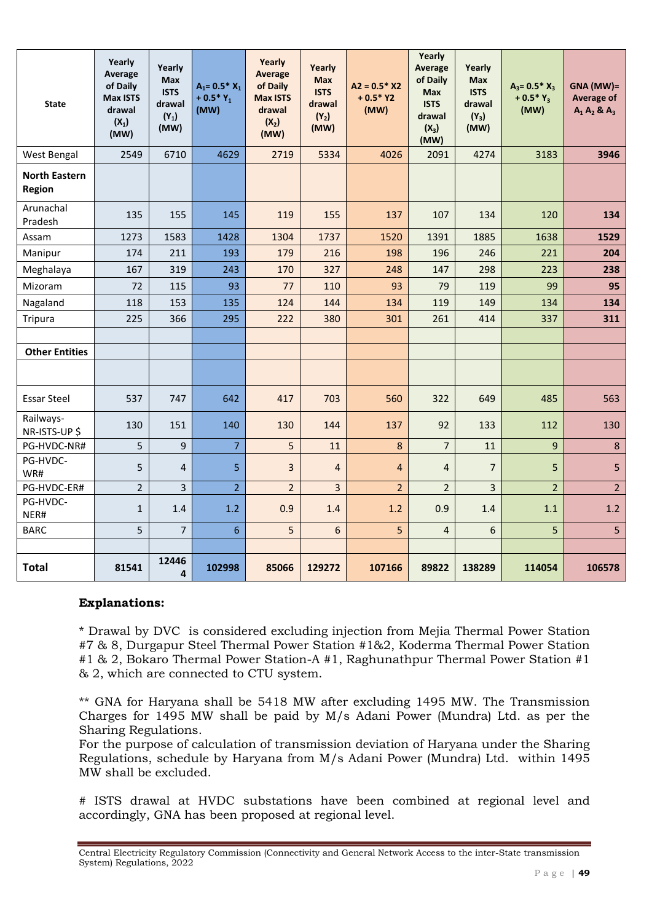| <b>State</b>                          | Yearly<br>Average<br>of Daily<br><b>Max ISTS</b><br>drawal<br>$(X_1)$<br>(MW) | Yearly<br><b>Max</b><br><b>ISTS</b><br>drawal<br>$(Y_1)$<br>(MW) | $A_1 = 0.5^* X_1$<br>+ $0.5*Y_1$<br>(MW) | Yearly<br><b>Average</b><br>of Daily<br><b>Max ISTS</b><br>drawal<br>$(X_2)$<br>(MW) | Yearly<br><b>Max</b><br><b>ISTS</b><br>drawal<br>$(Y_2)$<br>(MW) | $A2 = 0.5*X2$<br>$+0.5*Y2$<br>(MW) | Yearly<br>Average<br>of Daily<br><b>Max</b><br><b>ISTS</b><br>drawal<br>$(X_3)$<br>(MW) | Yearly<br><b>Max</b><br><b>ISTS</b><br>drawal<br>$(Y_3)$<br>(MW) | $A_3 = 0.5 * X_3$<br>+ $0.5*Y_3$<br>(MW) | GNA (MW)=<br><b>Average of</b><br>$A_1 A_2 8 A_3$ |
|---------------------------------------|-------------------------------------------------------------------------------|------------------------------------------------------------------|------------------------------------------|--------------------------------------------------------------------------------------|------------------------------------------------------------------|------------------------------------|-----------------------------------------------------------------------------------------|------------------------------------------------------------------|------------------------------------------|---------------------------------------------------|
| West Bengal                           | 2549                                                                          | 6710                                                             | 4629                                     | 2719                                                                                 | 5334                                                             | 4026                               | 2091                                                                                    | 4274                                                             | 3183                                     | 3946                                              |
| <b>North Eastern</b><br><b>Region</b> |                                                                               |                                                                  |                                          |                                                                                      |                                                                  |                                    |                                                                                         |                                                                  |                                          |                                                   |
| Arunachal<br>Pradesh                  | 135                                                                           | 155                                                              | 145                                      | 119                                                                                  | 155                                                              | 137                                | 107                                                                                     | 134                                                              | 120                                      | 134                                               |
| Assam                                 | 1273                                                                          | 1583                                                             | 1428                                     | 1304                                                                                 | 1737                                                             | 1520                               | 1391                                                                                    | 1885                                                             | 1638                                     | 1529                                              |
| Manipur                               | 174                                                                           | 211                                                              | 193                                      | 179                                                                                  | 216                                                              | 198                                | 196                                                                                     | 246                                                              | 221                                      | 204                                               |
| Meghalaya                             | 167                                                                           | 319                                                              | 243                                      | 170                                                                                  | 327                                                              | 248                                | 147                                                                                     | 298                                                              | 223                                      | 238                                               |
| <b>Mizoram</b>                        | 72                                                                            | 115                                                              | 93                                       | 77                                                                                   | 110                                                              | 93                                 | 79                                                                                      | 119                                                              | 99                                       | 95                                                |
| Nagaland                              | 118                                                                           | 153                                                              | 135                                      | 124                                                                                  | 144                                                              | 134                                | 119                                                                                     | 149                                                              | 134                                      | 134                                               |
| Tripura                               | 225                                                                           | 366                                                              | 295                                      | 222                                                                                  | 380                                                              | 301                                | 261                                                                                     | 414                                                              | 337                                      | 311                                               |
|                                       |                                                                               |                                                                  |                                          |                                                                                      |                                                                  |                                    |                                                                                         |                                                                  |                                          |                                                   |
| <b>Other Entities</b>                 |                                                                               |                                                                  |                                          |                                                                                      |                                                                  |                                    |                                                                                         |                                                                  |                                          |                                                   |
|                                       |                                                                               |                                                                  |                                          |                                                                                      |                                                                  |                                    |                                                                                         |                                                                  |                                          |                                                   |
| <b>Essar Steel</b>                    | 537                                                                           | 747                                                              | 642                                      | 417                                                                                  | 703                                                              | 560                                | 322                                                                                     | 649                                                              | 485                                      | 563                                               |
| Railways-<br>NR-ISTS-UP \$            | 130                                                                           | 151                                                              | 140                                      | 130                                                                                  | 144                                                              | 137                                | 92                                                                                      | 133                                                              | 112                                      | 130                                               |
| PG-HVDC-NR#                           | 5                                                                             | 9                                                                | $\overline{7}$                           | 5                                                                                    | 11                                                               | 8                                  | $\overline{7}$                                                                          | 11                                                               | 9                                        | $\boldsymbol{8}$                                  |
| PG-HVDC-<br>WR#                       | 5                                                                             | $\overline{4}$                                                   | 5                                        | $\overline{3}$                                                                       | $\overline{4}$                                                   | 4                                  | $\overline{4}$                                                                          | $\overline{7}$                                                   | 5                                        | 5                                                 |
| PG-HVDC-ER#                           | $\overline{2}$                                                                | 3                                                                | $\overline{2}$                           | $\overline{2}$                                                                       | $\overline{3}$                                                   | $\overline{2}$                     | $\overline{2}$                                                                          | 3                                                                | $\overline{2}$                           | 2 <sup>1</sup>                                    |
| PG-HVDC-<br>NER#                      | $\mathbf{1}$                                                                  | 1.4                                                              | 1.2                                      | 0.9                                                                                  | 1.4                                                              | 1.2                                | 0.9                                                                                     | 1.4                                                              | 1.1                                      | 1.2                                               |
| <b>BARC</b>                           | 5                                                                             | $\overline{7}$                                                   | $6\phantom{a}$                           | 5                                                                                    | $6\overline{6}$                                                  | 5                                  | $\overline{4}$                                                                          | 6                                                                | 5                                        | 5 <sup>1</sup>                                    |
|                                       |                                                                               |                                                                  |                                          |                                                                                      |                                                                  |                                    |                                                                                         |                                                                  |                                          |                                                   |
| <b>Total</b>                          | 81541                                                                         | 12446<br>$\overline{\mathbf{4}}$                                 | 102998                                   | 85066                                                                                | 129272                                                           | 107166                             | 89822                                                                                   | 138289                                                           | 114054                                   | 106578                                            |

#### **Explanations:**

\* Drawal by DVC is considered excluding injection from Mejia Thermal Power Station #7 & 8, Durgapur Steel Thermal Power Station #1&2, Koderma Thermal Power Station #1 & 2, Bokaro Thermal Power Station-A #1, Raghunathpur Thermal Power Station #1 & 2, which are connected to CTU system.

\*\* GNA for Haryana shall be 5418 MW after excluding 1495 MW. The Transmission Charges for 1495 MW shall be paid by M/s Adani Power (Mundra) Ltd. as per the Sharing Regulations.

For the purpose of calculation of transmission deviation of Haryana under the Sharing Regulations, schedule by Haryana from M/s Adani Power (Mundra) Ltd. within 1495 MW shall be excluded.

# ISTS drawal at HVDC substations have been combined at regional level and accordingly, GNA has been proposed at regional level.

Central Electricity Regulatory Commission (Connectivity and General Network Access to the inter-State transmission System) Regulations, 2022